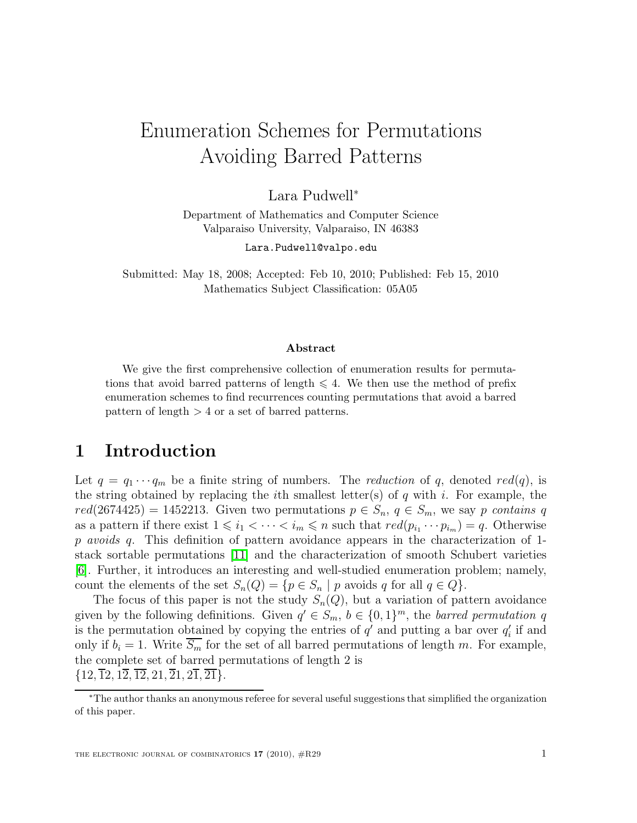# Enumeration Schemes for Permutations Avoiding Barred Patterns

Lara Pudwell<sup>∗</sup>

Department of Mathematics and Computer Science Valparaiso University, Valparaiso, IN 46383

Lara.Pudwell@valpo.edu

Submitted: May 18, 2008; Accepted: Feb 10, 2010; Published: Feb 15, 2010 Mathematics Subject Classification: 05A05

#### Abstract

We give the first comprehensive collection of enumeration results for permutations that avoid barred patterns of length  $\leq 4$ . We then use the method of prefix enumeration schemes to find recurrences counting permutations that avoid a barred pattern of length > 4 or a set of barred patterns.

# 1 Introduction

Let  $q = q_1 \cdots q_m$  be a finite string of numbers. The *reduction* of q, denoted red(q), is the string obtained by replacing the *i*th smallest letter(s) of  $q$  with  $i$ . For example, the  $red(2674425) = 1452213$ . Given two permutations  $p \in S_n$ ,  $q \in S_m$ , we say p contains q as a pattern if there exist  $1 \leq i_1 < \cdots < i_m \leq n$  such that  $red(p_{i_1} \cdots p_{i_m}) = q$ . Otherwise p avoids q. This definition of pattern avoidance appears in the characterization of 1stack sortable permutations [\[11\]](#page-26-0) and the characterization of smooth Schubert varieties [\[6\]](#page-26-1). Further, it introduces an interesting and well-studied enumeration problem; namely, count the elements of the set  $S_n(Q) = \{p \in S_n \mid p \text{ avoids } q \text{ for all } q \in Q\}.$ 

The focus of this paper is not the study  $S_n(Q)$ , but a variation of pattern avoidance given by the following definitions. Given  $q' \in S_m$ ,  $b \in \{0,1\}^m$ , the barred permutation q is the permutation obtained by copying the entries of  $q'$  and putting a bar over  $q'_{i}$  if and only if  $b_i = 1$ . Write  $\overline{S_m}$  for the set of all barred permutations of length m. For example, the complete set of barred permutations of length 2 is  $\{12,\overline{12},1\overline{2},\overline{12},21,\overline{21},2\overline{1},\overline{21}\}.$ 

<sup>∗</sup>The author thanks an anonymous referee for several useful suggestions that simplified the organization of this paper.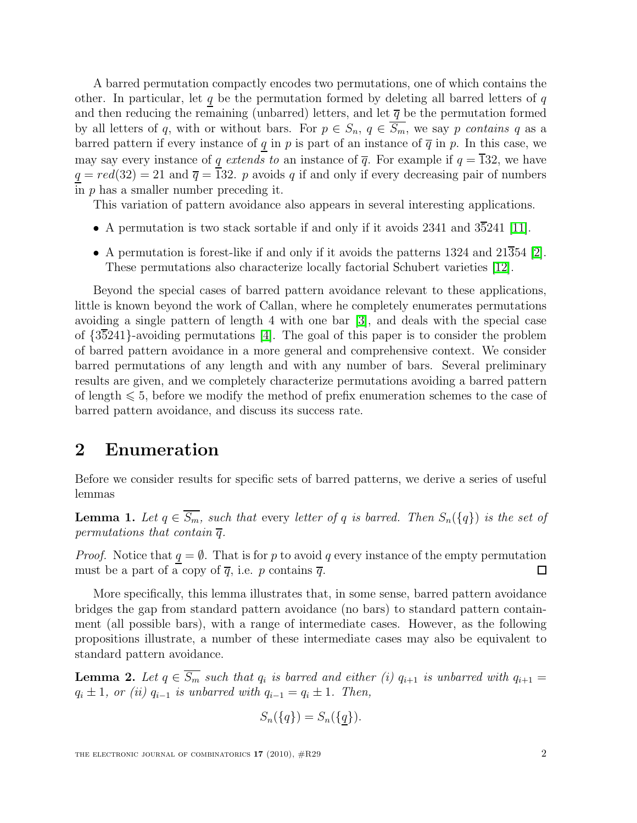A barred permutation compactly encodes two permutations, one of which contains the other. In particular, let q be the permutation formed by deleting all barred letters of  $q$ and then reducing the remaining (unbarred) letters, and let  $\bar{q}$  be the permutation formed by all letters of q, with or without bars. For  $p \in S_n$ ,  $q \in \overline{S_m}$ , we say p contains q as a barred pattern if every instance of q in p is part of an instance of  $\overline{q}$  in p. In this case, we may say every instance of q extends to an instance of  $\overline{q}$ . For example if  $q = \overline{1}32$ , we have  $q = red(32) = 21$  and  $\overline{q} = 132$ . p avoids q if and only if every decreasing pair of numbers in  $p$  has a smaller number preceding it.

This variation of pattern avoidance also appears in several interesting applications.

- A permutation is two stack sortable if and only if it avoids 2341 and  $3\overline{5}241$  [\[11\]](#page-26-0).
- A permutation is forest-like if and only if it avoids the patterns  $1324$  and  $21\overline{3}54$  [\[2\]](#page-26-2). These permutations also characterize locally factorial Schubert varieties [\[12\]](#page-26-3).

Beyond the special cases of barred pattern avoidance relevant to these applications, little is known beyond the work of Callan, where he completely enumerates permutations avoiding a single pattern of length 4 with one bar [\[3\]](#page-26-4), and deals with the special case of {35241}-avoiding permutations [\[4\]](#page-26-5). The goal of this paper is to consider the problem of barred pattern avoidance in a more general and comprehensive context. We consider barred permutations of any length and with any number of bars. Several preliminary results are given, and we completely characterize permutations avoiding a barred pattern of length  $\leq 5$ , before we modify the method of prefix enumeration schemes to the case of barred pattern avoidance, and discuss its success rate.

# 2 Enumeration

<span id="page-1-0"></span>Before we consider results for specific sets of barred patterns, we derive a series of useful lemmas

**Lemma 1.** Let  $q \in \overline{S_m}$ , such that every letter of q is barred. Then  $S_n({q})$  is the set of permutations that contain  $\overline{q}$ .

*Proof.* Notice that  $q = \emptyset$ . That is for p to avoid q every instance of the empty permutation must be a part of a copy of  $\overline{q}$ , i.e. p contains  $\overline{q}$ .  $\Box$ 

More specifically, this lemma illustrates that, in some sense, barred pattern avoidance bridges the gap from standard pattern avoidance (no bars) to standard pattern containment (all possible bars), with a range of intermediate cases. However, as the following propositions illustrate, a number of these intermediate cases may also be equivalent to standard pattern avoidance.

<span id="page-1-1"></span>**Lemma 2.** Let  $q \in S_m$  such that  $q_i$  is barred and either (i)  $q_{i+1}$  is unbarred with  $q_{i+1} =$  $q_i \pm 1$ , or (ii)  $q_{i-1}$  is unbarred with  $q_{i-1} = q_i \pm 1$ . Then,

$$
S_n({q}) = S_n({q}).
$$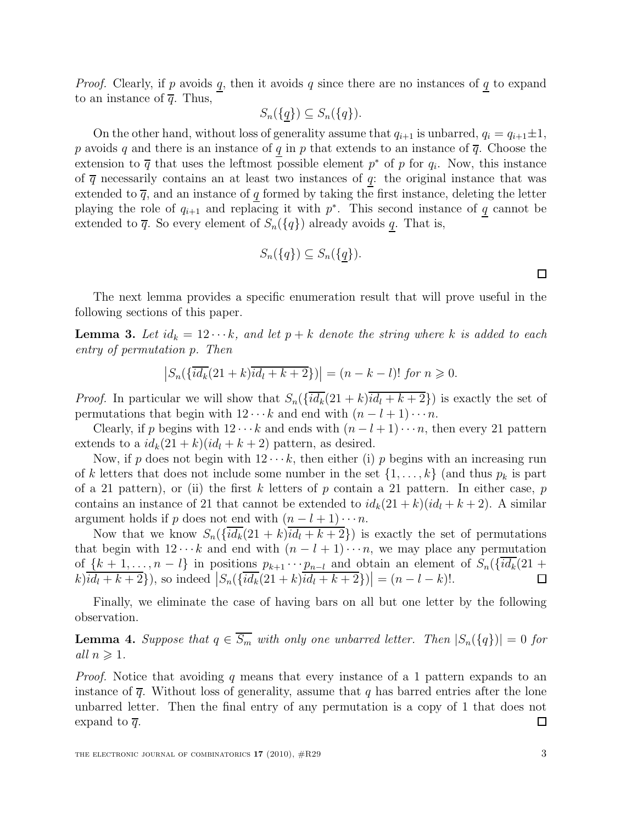*Proof.* Clearly, if p avoids q, then it avoids q since there are no instances of  $q$  to expand to an instance of  $\overline{q}$ . Thus,

$$
S_n(\{\underline{q}\}) \subseteq S_n(\{q\}).
$$

On the other hand, without loss of generality assume that  $q_{i+1}$  is unbarred,  $q_i = q_{i+1} \pm 1$ , p avoids q and there is an instance of q in p that extends to an instance of  $\overline{q}$ . Choose the extension to  $\overline{q}$  that uses the leftmost possible element  $p^*$  of p for  $q_i$ . Now, this instance of  $\overline{q}$  necessarily contains an at least two instances of q: the original instance that was extended to  $\overline{q}$ , and an instance of q formed by taking the first instance, deleting the letter playing the role of  $q_{i+1}$  and replacing it with  $p^*$ . This second instance of q cannot be extended to  $\overline{q}$ . So every element of  $S_n({q})$  already avoids q. That is,

$$
S_n({q}) \subseteq S_n({q}).
$$

<span id="page-2-0"></span>The next lemma provides a specific enumeration result that will prove useful in the following sections of this paper.

**Lemma 3.** Let  $id_k = 12 \cdots k$ , and let  $p + k$  denote the string where k is added to each entry of permutation p. Then

$$
|S_n(\{\overline{id_k}(21+k)\overline{id_l+k+2}\})| = (n-k-l)! \text{ for } n \ge 0.
$$

*Proof.* In particular we will show that  $S_n(\{\overline{id_k}(21 + k)\overline{id_l + k + 2}\})$  is exactly the set of permutations that begin with  $12 \cdots k$  and end with  $(n - l + 1) \cdots n$ .

Clearly, if p begins with  $12 \cdots k$  and ends with  $(n-l+1) \cdots n$ , then every 21 pattern extends to a  $id_k(21 + k)(id_l + k + 2)$  pattern, as desired.

Now, if p does not begin with  $12 \cdots k$ , then either (i) p begins with an increasing run of k letters that does not include some number in the set  $\{1, \ldots, k\}$  (and thus  $p_k$  is part of a 21 pattern), or (ii) the first k letters of p contain a 21 pattern. In either case, p contains an instance of 21 that cannot be extended to  $id_k(21 + k)(id_l + k + 2)$ . A similar argument holds if p does not end with  $(n - l + 1) \cdots n$ .

Now that we know  $S_n({id_k(21 + k)id_l + k + 2})$  is exactly the set of permutations that begin with  $12 \cdots k$  and end with  $(n - l + 1) \cdots n$ , we may place any permutation of  $\{k+1,\ldots,n-l\}$  in positions  $p_{k+1}\cdots p_{n-l}$  and obtain an element of  $S_n(\{\overline{id}_k(21+$  $k[i]$  $(k[i] + k + 2]$ , so indeed  $|S_n(\{\overline{id}_k(21+k)\overline{id}_l + k + 2\})| = (n-l-k)!$ .  $\Box$ 

<span id="page-2-1"></span>Finally, we eliminate the case of having bars on all but one letter by the following observation.

**Lemma 4.** Suppose that  $q \in \overline{S_m}$  with only one unbarred letter. Then  $|S_n(\lbrace q \rbrace)| = 0$  for all  $n \geqslant 1$ .

Proof. Notice that avoiding q means that every instance of a 1 pattern expands to an instance of  $\bar{q}$ . Without loss of generality, assume that q has barred entries after the lone unbarred letter. Then the final entry of any permutation is a copy of 1 that does not expand to  $\overline{q}$ . ◻

 $\Box$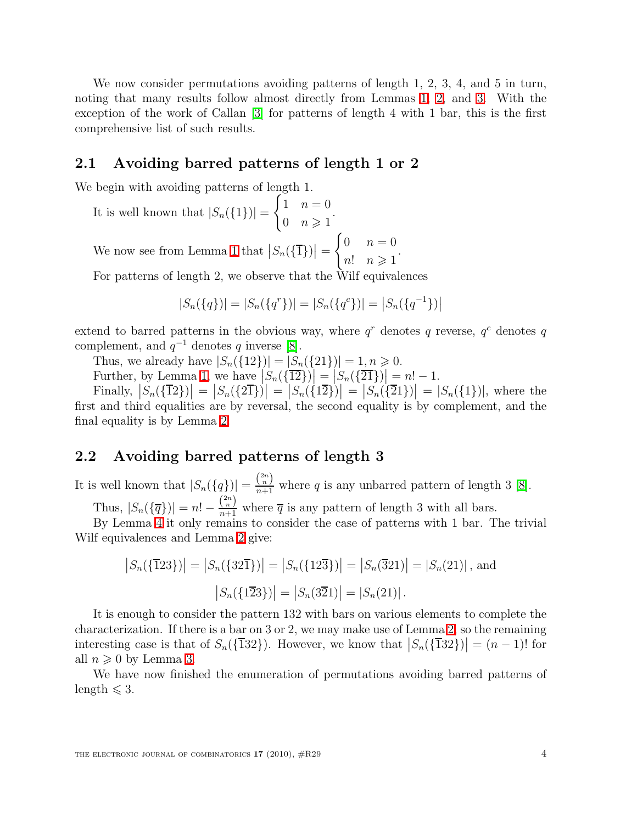We now consider permutations avoiding patterns of length 1, 2, 3, 4, and 5 in turn, noting that many results follow almost directly from Lemmas [1,](#page-1-0) [2,](#page-1-1) and [3.](#page-2-0) With the exception of the work of Callan [\[3\]](#page-26-4) for patterns of length 4 with 1 bar, this is the first comprehensive list of such results.

### 2.1 Avoiding barred patterns of length 1 or 2

We begin with avoiding patterns of length 1.

It is well known that  $|S_n({1})|$  =  $\int 1 \quad n=0$ 0  $n \geqslant 1$ .

We now see from Lemma [1](#page-1-0) that  $|S_n(\{\overline{1}\})|=$  $\int 0 \quad n=0$  $n!$   $n \geqslant 1$ .

For patterns of length 2, we observe that the Wilf equivalences

$$
|S_n({q})| = |S_n({q}^r)| = |S_n({q}^c)| = |S_n({q}^{-1})|
$$

extend to barred patterns in the obvious way, where  $q<sup>r</sup>$  denotes q reverse,  $q<sup>c</sup>$  denotes q complement, and  $q^{-1}$  denotes q inverse [\[8\]](#page-26-6).

Thus, we already have  $|S_n({12})| = |S_n({21})| = 1, n \ge 0$ .

Further, by Lemma [1,](#page-1-0) we have  $\left|S_n(\{\overline{12}\})\right| = \left|S_n(\{\overline{21}\})\right| = n! - 1$ .

Finally,  $|S_n(\{\overline{1}2\})| = |S_n(\{\overline{2}\})| = |S_n(\{\overline{2}\})| = |S_n(\{\overline{2}\})| = |S_n(\{\overline{2}\})| = |S_n(\{\overline{2}\})|$ , where the first and third equalities are by reversal, the second equality is by complement, and the final equality is by Lemma [2.](#page-1-1)

### 2.2 Avoiding barred patterns of length 3

It is well known that  $|S_n({q})| = \frac{\binom{2n}{n}}{n+1}$  where q is any unbarred pattern of length 3 [\[8\]](#page-26-6).

Thus,  $|S_n(\{\overline{q}\})| = n! - \frac{\binom{2n}{n}}{n+1}$  where  $\overline{q}$  is any pattern of length 3 with all bars.

By Lemma [4](#page-2-1) it only remains to consider the case of patterns with 1 bar. The trivial Wilf equivalences and Lemma [2](#page-1-1) give:

$$
|S_n(\{\overline{1}23\})| = |S_n(\{32\overline{1}\})| = |S_n(\{12\overline{3}\})| = |S_n(\overline{3}21)| = |S_n(21)|
$$
, and  

$$
|S_n(\{1\overline{2}3\})| = |S_n(3\overline{2}1)| = |S_n(21)|.
$$

It is enough to consider the pattern 132 with bars on various elements to complete the characterization. If there is a bar on 3 or 2, we may make use of Lemma [2,](#page-1-1) so the remaining interesting case is that of  $S_n({\overline{132}})$ . However, we know that  $|S_n({\overline{132}})| = (n-1)!$  for all  $n \geqslant 0$  by Lemma [3.](#page-2-0)

We have now finished the enumeration of permutations avoiding barred patterns of length  $\leq 3$ .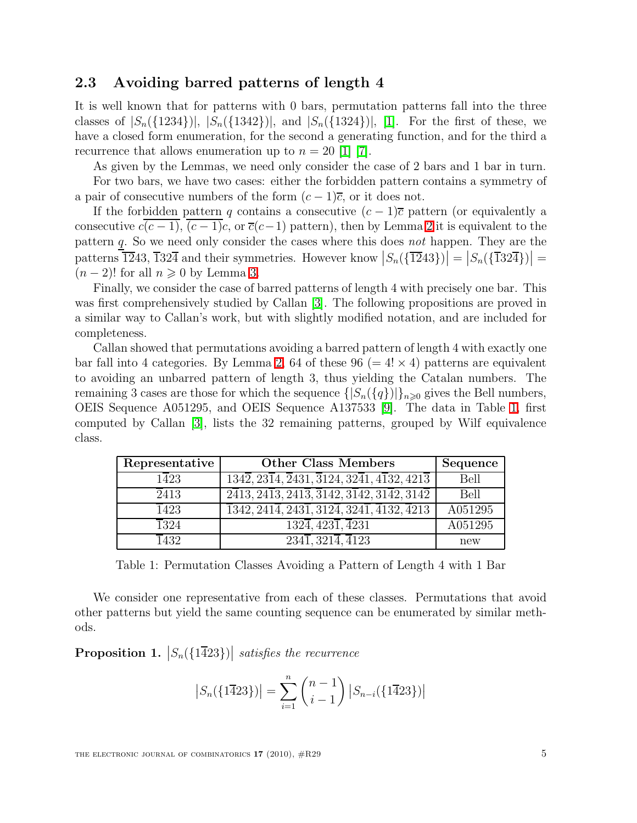### 2.3 Avoiding barred patterns of length 4

It is well known that for patterns with 0 bars, permutation patterns fall into the three classes of  $|S_n({1234})|, |S_n({1342})|,$  and  $|S_n({1324})|,$  [\[1\]](#page-26-7). For the first of these, we have a closed form enumeration, for the second a generating function, and for the third a recurrence that allows enumeration up to  $n = 20$  [\[1\]](#page-26-7) [\[7\]](#page-26-8).

As given by the Lemmas, we need only consider the case of 2 bars and 1 bar in turn.

For two bars, we have two cases: either the forbidden pattern contains a symmetry of a pair of consecutive numbers of the form  $(c-1)\overline{c}$ , or it does not.

If the forbidden pattern q contains a consecutive  $(c-1)\overline{c}$  pattern (or equivalently a consecutive  $c(c-1)$ ,  $(c-1)c$ , or  $\overline{c}(c-1)$  pattern), then by Lemma [2](#page-1-1) it is equivalent to the pattern  $q$ . So we need only consider the cases where this does *not* happen. They are the patterns  $\overline{12}43, \overline{13}2\overline{4}$  and their symmetries. However know  $|S_n(\{\overline{12}43\})| = |S_n(\{\overline{13}2\overline{4}\})| =$  $(n-2)!$  for all  $n \geqslant 0$  by Lemma [3.](#page-2-0)

Finally, we consider the case of barred patterns of length 4 with precisely one bar. This was first comprehensively studied by Callan [\[3\]](#page-26-4). The following propositions are proved in a similar way to Callan's work, but with slightly modified notation, and are included for completeness.

Callan showed that permutations avoiding a barred pattern of length 4 with exactly one bar fall into 4 categories. By Lemma [2,](#page-1-1) 64 of these 96 (=  $4! \times 4$ ) patterns are equivalent to avoiding an unbarred pattern of length 3, thus yielding the Catalan numbers. The remaining 3 cases are those for which the sequence  $\{|S_n(\{q\})|\}_{n\geq 0}$  gives the Bell numbers, OEIS Sequence A051295, and OEIS Sequence A137533 [\[9\]](#page-26-9). The data in Table [1,](#page-4-0) first computed by Callan [\[3\]](#page-26-4), lists the 32 remaining patterns, grouped by Wilf equivalence class.

| Representative    | <b>Other Class Members</b>                                                                                              | Sequence |
|-------------------|-------------------------------------------------------------------------------------------------------------------------|----------|
| $1\overline{4}23$ | $\overline{1342}, \overline{2314}, \overline{2431}, \overline{3124}, 32\overline{41}, 4\overline{132}, 421\overline{3}$ | Bell     |
| 2413              | $\sqrt{2413, 2413, 2413, \overline{3142, 3142, 3142, 3142}}$                                                            | Bell     |
| $\overline{1}423$ | $\overline{1}342, 241\overline{4}, 243\overline{1}, 312\overline{4}, 324\overline{1}, \overline{4}132, \overline{4}213$ | A051295  |
| 1324              | $\overline{1324}, \overline{4231}, \overline{4231}$                                                                     | A051295  |
| 1432              | $\overline{2341,3214,4123}$                                                                                             | new      |

<span id="page-4-0"></span>Table 1: Permutation Classes Avoiding a Pattern of Length 4 with 1 Bar

We consider one representative from each of these classes. Permutations that avoid other patterns but yield the same counting sequence can be enumerated by similar methods.

**Proposition 1.**  $|S_n(\{1\overline{4}23\})|$  satisfies the recurrence

$$
|S_n(\lbrace 1\overline{4}23\rbrace)| = \sum_{i=1}^n \binom{n-1}{i-1} |S_{n-i}(\lbrace 1\overline{4}23\rbrace)|
$$

THE ELECTRONIC JOURNAL OF COMBINATORICS  $17$  (2010),  $\#R29$  5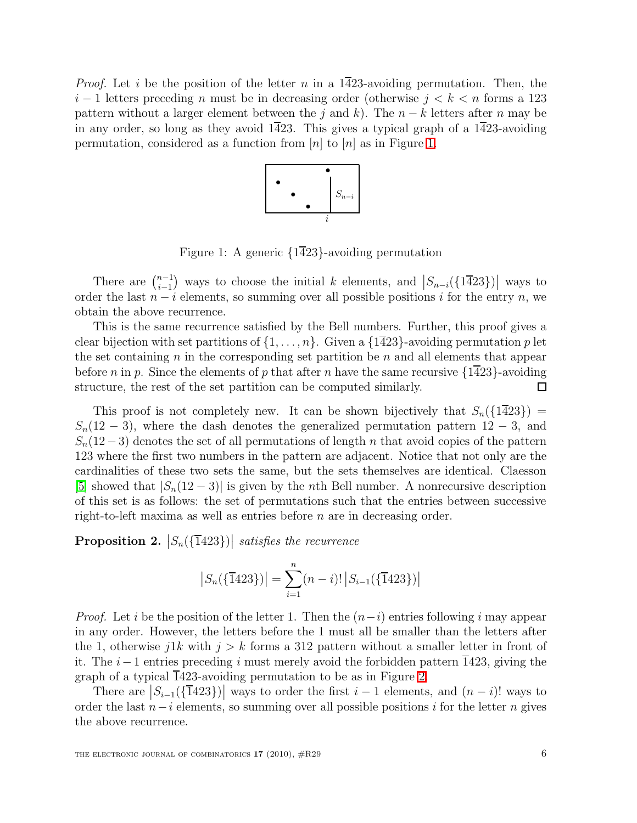*Proof.* Let i be the position of the letter n in a 1423-avoiding permutation. Then, the  $i-1$  letters preceding n must be in decreasing order (otherwise  $j < k < n$  forms a 123 pattern without a larger element between the j and k). The  $n - k$  letters after n may be in any order, so long as they avoid  $1\overline{4}23$ . This gives a typical graph of a  $1\overline{4}23$ -avoiding permutation, considered as a function from  $[n]$  to  $[n]$  as in Figure [1.](#page-5-0)



<span id="page-5-0"></span>Figure 1: A generic {1423}-avoiding permutation

There are  $\binom{n-1}{i-1}$  $\binom{n-1}{i-1}$  ways to choose the initial k elements, and  $\left|S_{n-i}(\lbrace \overline{1423}\rbrace)\right|$  ways to order the last  $n - i$  elements, so summing over all possible positions i for the entry n, we obtain the above recurrence.

This is the same recurrence satisfied by the Bell numbers. Further, this proof gives a clear bijection with set partitions of  $\{1, \ldots, n\}$ . Given a  $\{1\overline{4}23\}$ -avoiding permutation p let the set containing  $n$  in the corresponding set partition be  $n$  and all elements that appear before n in p. Since the elements of p that after n have the same recursive  $\{1\overline{4}23\}$ -avoiding structure, the rest of the set partition can be computed similarly. 囗

This proof is not completely new. It can be shown bijectively that  $S_n({1\overline{4}23}) =$  $S_n(12-3)$ , where the dash denotes the generalized permutation pattern  $12-3$ , and  $S_n(12-3)$  denotes the set of all permutations of length n that avoid copies of the pattern 123 where the first two numbers in the pattern are adjacent. Notice that not only are the cardinalities of these two sets the same, but the sets themselves are identical. Claesson [\[5\]](#page-26-10) showed that  $|S_n(12-3)|$  is given by the *n*th Bell number. A nonrecursive description of this set is as follows: the set of permutations such that the entries between successive right-to-left maxima as well as entries before  $n$  are in decreasing order.

 $\textbf{Proposition 2.} \; \big| S_n(\{\overline{1}423\}) \big| \; \textit{satisfies the recurrence}$ 

$$
|S_n(\{\overline{1}423\})| = \sum_{i=1}^n (n-i)! |S_{i-1}(\{\overline{1}423\})|
$$

*Proof.* Let i be the position of the letter 1. Then the  $(n-i)$  entries following i may appear in any order. However, the letters before the 1 must all be smaller than the letters after the 1, otherwise j1k with  $j > k$  forms a 312 pattern without a smaller letter in front of it. The  $i-1$  entries preceding i must merely avoid the forbidden pattern 1423, giving the graph of a typical  $\overline{1}423$ -avoiding permutation to be as in Figure [2.](#page-6-0)

There are  $|S_{i-1}(\{\overline{1}423\})|$  ways to order the first  $i-1$  elements, and  $(n-i)!$  ways to order the last  $n-i$  elements, so summing over all possible positions i for the letter n gives the above recurrence.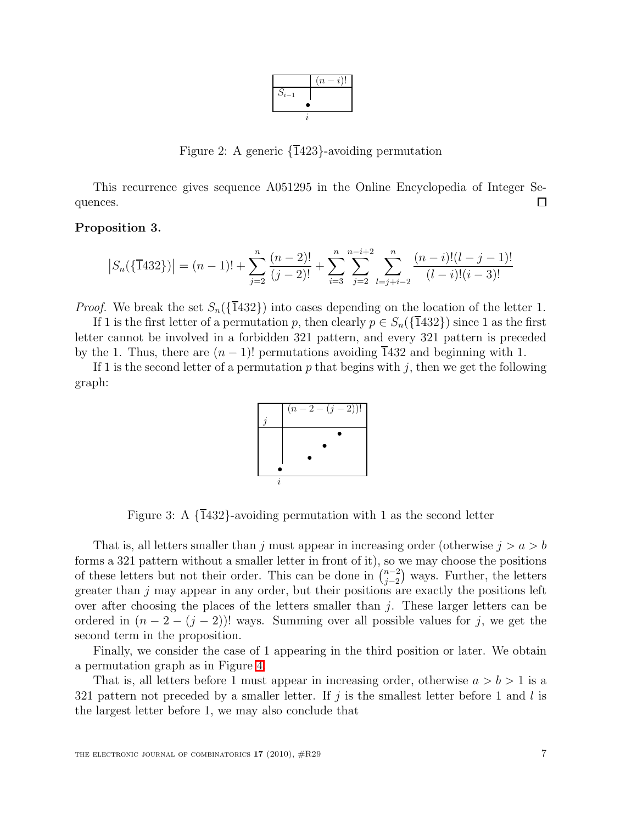|           | $(-i)!$<br>$(n-$ |
|-----------|------------------|
| $S_{i-1}$ |                  |
|           |                  |
|           |                  |

<span id="page-6-0"></span>Figure 2: A generic {1423}-avoiding permutation

This recurrence gives sequence A051295 in the Online Encyclopedia of Integer Sequences. П

#### Proposition 3.

$$
|S_n(\{\overline{1}432\})| = (n-1)! + \sum_{j=2}^n \frac{(n-2)!}{(j-2)!} + \sum_{i=3}^n \sum_{j=2}^{n-i+2} \sum_{l=j+i-2}^n \frac{(n-i)!(l-j-1)!}{(l-i)!(i-3)!}
$$

*Proof.* We break the set  $S_n({\overline{1}}432)$  into cases depending on the location of the letter 1.

If 1 is the first letter of a permutation p, then clearly  $p \in S_n(\{\overline{1}432\})$  since 1 as the first letter cannot be involved in a forbidden 321 pattern, and every 321 pattern is preceded by the 1. Thus, there are  $(n - 1)!$  permutations avoiding 1432 and beginning with 1.

If 1 is the second letter of a permutation p that begins with j, then we get the following graph:



Figure 3: A  $\{\overline{1}432\}$ -avoiding permutation with 1 as the second letter

That is, all letters smaller than j must appear in increasing order (otherwise  $j > a > b$ forms a 321 pattern without a smaller letter in front of it), so we may choose the positions of these letters but not their order. This can be done in  $\binom{n-2}{i-2}$  $j_{j-2}^{n-2}$  ways. Further, the letters greater than  $j$  may appear in any order, but their positions are exactly the positions left over after choosing the places of the letters smaller than  $j$ . These larger letters can be ordered in  $(n-2-(j-2))!$  ways. Summing over all possible values for j, we get the second term in the proposition.

Finally, we consider the case of 1 appearing in the third position or later. We obtain a permutation graph as in Figure [4.](#page-7-0)

That is, all letters before 1 must appear in increasing order, otherwise  $a > b > 1$  is a 321 pattern not preceded by a smaller letter. If  $j$  is the smallest letter before 1 and l is the largest letter before 1, we may also conclude that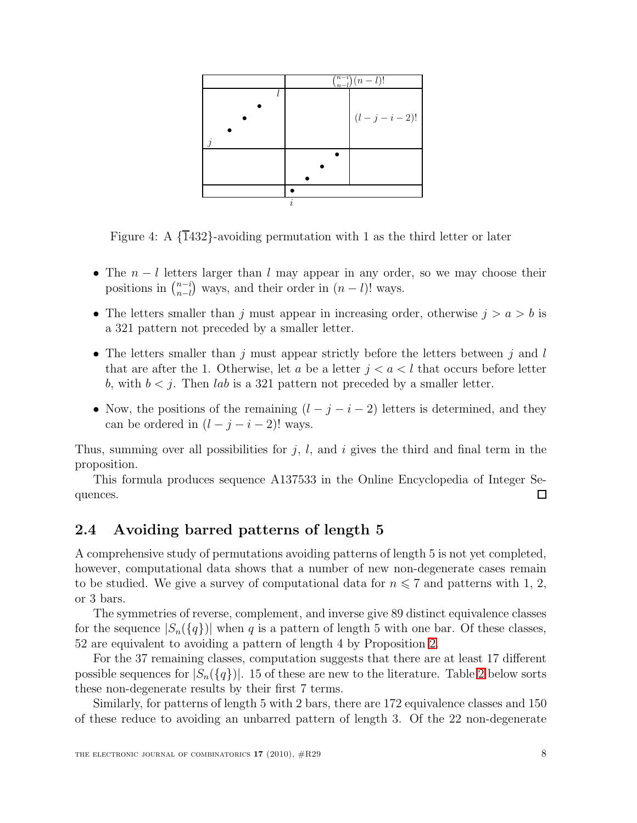|           |   | $\binom{n-i}{n-l}(n-l)!$ |
|-----------|---|--------------------------|
|           |   |                          |
|           |   |                          |
|           |   | $(l - j - i - 2)!$       |
| $\dot{q}$ |   |                          |
|           |   |                          |
|           |   |                          |
|           |   |                          |
|           |   |                          |
|           | i |                          |

<span id="page-7-0"></span>Figure 4: A  $\{1432\}$ -avoiding permutation with 1 as the third letter or later

- The  $n l$  letters larger than l may appear in any order, so we may choose their positions in  $\binom{n-i}{n-l}$  $_{n-l}^{n-i}$  ways, and their order in  $(n-l)!$  ways.
- The letters smaller than j must appear in increasing order, otherwise  $j > a > b$  is a 321 pattern not preceded by a smaller letter.
- The letters smaller than j must appear strictly before the letters between j and  $l$ that are after the 1. Otherwise, let a be a letter  $j < a < l$  that occurs before letter b, with  $b < j$ . Then lab is a 321 pattern not preceded by a smaller letter.
- Now, the positions of the remaining  $(l j i 2)$  letters is determined, and they can be ordered in  $(l - j - i - 2)!$  ways.

Thus, summing over all possibilities for  $j$ ,  $l$ , and  $i$  gives the third and final term in the proposition.

This formula produces sequence A137533 in the Online Encyclopedia of Integer Sequences. □

### <span id="page-7-1"></span>2.4 Avoiding barred patterns of length 5

A comprehensive study of permutations avoiding patterns of length 5 is not yet completed, however, computational data shows that a number of new non-degenerate cases remain to be studied. We give a survey of computational data for  $n \leq 7$  and patterns with 1, 2, or 3 bars.

The symmetries of reverse, complement, and inverse give 89 distinct equivalence classes for the sequence  $|S_n({q})|$  when q is a pattern of length 5 with one bar. Of these classes, 52 are equivalent to avoiding a pattern of length 4 by Proposition [2.](#page-1-1)

For the 37 remaining classes, computation suggests that there are at least 17 different possible sequences for  $|S_n({q})|$ . 15 of these are new to the literature. Table [2](#page-8-0) below sorts these non-degenerate results by their first 7 terms.

Similarly, for patterns of length 5 with 2 bars, there are 172 equivalence classes and 150 of these reduce to avoiding an unbarred pattern of length 3. Of the 22 non-degenerate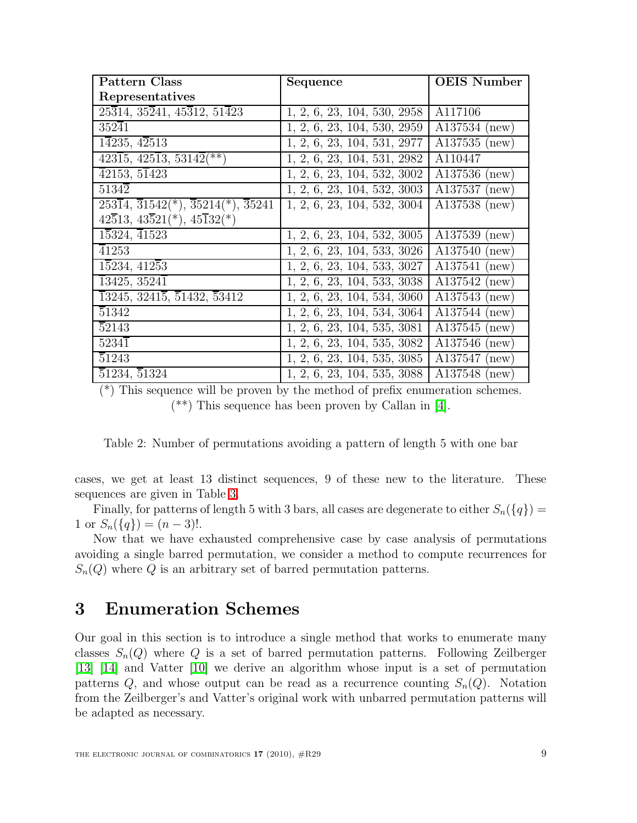| <b>Pattern Class</b>                                                                                     | Sequence                    | <b>OEIS Number</b> |
|----------------------------------------------------------------------------------------------------------|-----------------------------|--------------------|
| Representatives                                                                                          |                             |                    |
| $25\overline{3}14, 35\overline{2}41, 45\overline{3}12, 51\overline{4}23$                                 | 1, 2, 6, 23, 104, 530, 2958 | A117106            |
| $352\overline{4}1$                                                                                       | 1, 2, 6, 23, 104, 530, 2959 | A137534 (new)      |
| 14235, 42513                                                                                             | 1, 2, 6, 23, 104, 531, 2977 | $A137535$ (new)    |
| $\overline{42315}, \overline{42513}, \overline{53142}$ (**)                                              | 1, 2, 6, 23, 104, 531, 2982 | A110447            |
| $\overline{42153},\, 5\overline{1423}$                                                                   | 1, 2, 6, 23, 104, 532, 3002 | A137536 (new)      |
| $5134\overline{2}$                                                                                       | 1, 2, 6, 23, 104, 532, 3003 | $A137537$ (new)    |
| $\overline{25314}, \overline{31542}$ <sup>*</sup> , $\overline{35214}$ <sup>*</sup> , $\overline{35241}$ | 1, 2, 6, 23, 104, 532, 3004 | $A137538$ (new)    |
| $42\overline{5}13, 43\overline{5}21(*)$ , $45\overline{1}32(*)$                                          |                             |                    |
| $1\overline{5}324, \overline{4}1523$                                                                     | 1, 2, 6, 23, 104, 532, 3005 | A137539 (new)      |
| 41253                                                                                                    | 1, 2, 6, 23, 104, 533, 3026 | $A137540$ (new)    |
| 15234, 41253                                                                                             | 1, 2, 6, 23, 104, 533, 3027 | A137541 (new)      |
| $13425, 3524\overline{1}$                                                                                | 1, 2, 6, 23, 104, 533, 3038 | $A137542$ (new)    |
| $\overline{1}3245, 3241\overline{5}, \overline{5}1432, \overline{5}3412$                                 | 1, 2, 6, 23, 104, 534, 3060 | $A137543$ (new)    |
| 51342                                                                                                    | 1, 2, 6, 23, 104, 534, 3064 | A137544 (new)      |
| $\overline{5}2143$                                                                                       | 1, 2, 6, 23, 104, 535, 3081 | $A137545$ (new)    |
| $5234\overline{1}$                                                                                       | 1, 2, 6, 23, 104, 535, 3082 | A137546 (new)      |
| 51243                                                                                                    | 1, 2, 6, 23, 104, 535, 3085 | $A137547$ (new)    |
| 51234, 51324                                                                                             | 1, 2, 6, 23, 104, 535, 3088 | A137548 (new)      |

(\*) This sequence will be proven by the method of prefix enumeration schemes. (\*\*) This sequence has been proven by Callan in [\[4\]](#page-26-5).

<span id="page-8-0"></span>Table 2: Number of permutations avoiding a pattern of length 5 with one bar

cases, we get at least 13 distinct sequences, 9 of these new to the literature. These sequences are given in Table [3.](#page-9-0)

Finally, for patterns of length 5 with 3 bars, all cases are degenerate to either  $S_n({q})$  = 1 or  $S_n({q}) = (n-3)!$ .

Now that we have exhausted comprehensive case by case analysis of permutations avoiding a single barred permutation, we consider a method to compute recurrences for  $S_n(Q)$  where Q is an arbitrary set of barred permutation patterns.

# 3 Enumeration Schemes

Our goal in this section is to introduce a single method that works to enumerate many classes  $S_n(Q)$  where Q is a set of barred permutation patterns. Following Zeilberger [\[13\]](#page-26-11) [\[14\]](#page-26-12) and Vatter [\[10\]](#page-26-13) we derive an algorithm whose input is a set of permutation patterns  $Q$ , and whose output can be read as a recurrence counting  $S_n(Q)$ . Notation from the Zeilberger's and Vatter's original work with unbarred permutation patterns will be adapted as necessary.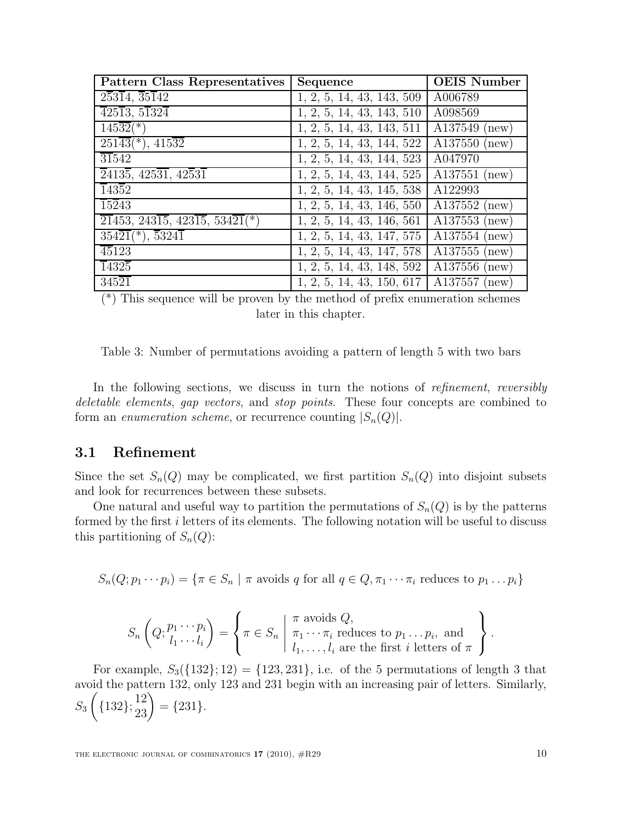| <b>Pattern Class Representatives</b>                                                    | Sequence                  | <b>OEIS Number</b> |
|-----------------------------------------------------------------------------------------|---------------------------|--------------------|
| $2\overline{5}3\overline{1}4, \overline{3}5\overline{1}42$                              | 1, 2, 5, 14, 43, 143, 509 | A006789            |
| $\overline{42513, 51324}$                                                               | 1, 2, 5, 14, 43, 143, 510 | A098569            |
| $145\overline{32}$ <sup>(*)</sup>                                                       | 1, 2, 5, 14, 43, 143, 511 | $A137549$ (new)    |
| $251\overline{43}$ <sup>*</sup> ), $415\overline{32}$                                   | 1, 2, 5, 14, 43, 144, 522 | $A137550$ (new)    |
| $\overline{31}542$                                                                      | 1, 2, 5, 14, 43, 144, 523 | A047970            |
| $\overline{2}413\overline{5}$ , 425 $\overline{31}$ , 42 $\overline{5}3\overline{1}$    | 1, 2, 5, 14, 43, 144, 525 | $A137551$ (new)    |
| 14352                                                                                   | 1, 2, 5, 14, 43, 145, 538 | A122993            |
| $15\overline{2}43$                                                                      | 1, 2, 5, 14, 43, 146, 550 | $A137552$ (new)    |
| $\overline{21}453, 243\overline{15}, 423\overline{15}, 534\overline{21}$ <sup>*</sup> ) | 1, 2, 5, 14, 43, 146, 561 | $A137553$ (new)    |
| $354\overline{21}$ <sup>*</sup> ), $\overline{53241}$                                   | 1, 2, 5, 14, 43, 147, 575 | $A137554$ (new)    |
| 45123                                                                                   | 1, 2, 5, 14, 43, 147, 578 | $A137555$ (new)    |
| 14325                                                                                   | 1, 2, 5, 14, 43, 148, 592 | $A137556$ (new)    |
| $345\overline{21}$                                                                      | 1, 2, 5, 14, 43, 150, 617 | $A137557$ (new)    |

(\*) This sequence will be proven by the method of prefix enumeration schemes later in this chapter.

<span id="page-9-0"></span>

|  | Table 3: Number of permutations avoiding a pattern of length 5 with two bars |  |  |  |  |
|--|------------------------------------------------------------------------------|--|--|--|--|
|  |                                                                              |  |  |  |  |

In the following sections, we discuss in turn the notions of *refinement*, *reversibly* deletable elements, gap vectors, and stop points. These four concepts are combined to form an *enumeration scheme*, or recurrence counting  $|S_n(Q)|$ .

#### 3.1 Refinement

Since the set  $S_n(Q)$  may be complicated, we first partition  $S_n(Q)$  into disjoint subsets and look for recurrences between these subsets.

One natural and useful way to partition the permutations of  $S_n(Q)$  is by the patterns formed by the first i letters of its elements. The following notation will be useful to discuss this partitioning of  $S_n(Q)$ :

 $S_n(Q; p_1 \cdots p_i) = \{ \pi \in S_n \mid \pi \text{ avoids } q \text{ for all } q \in Q, \pi_1 \cdots \pi_i \text{ reduces to } p_1 \cdots p_i \}$ 

$$
S_n\left(Q; \begin{matrix}p_1\cdots p_i\\l_1\cdots l_i\end{matrix}\right) = \left\{\pi \in S_n \mid \begin{matrix} \pi \text{ avoids } Q, \\ \pi_1\cdots\pi_i \text{ reduces to } p_1\ldots p_i, \text{ and} \\ l_1,\ldots,l_i \text{ are the first } i \text{ letters of } \pi \end{matrix}\right\}.
$$

For example,  $S_3({132}; 12) = {123,231}$ , i.e. of the 5 permutations of length 3 that avoid the pattern 132, only 123 and 231 begin with an increasing pair of letters. Similarly,  $S_3$  $\sqrt{ }$  ${132}; {12 \choose 23} = {231}.$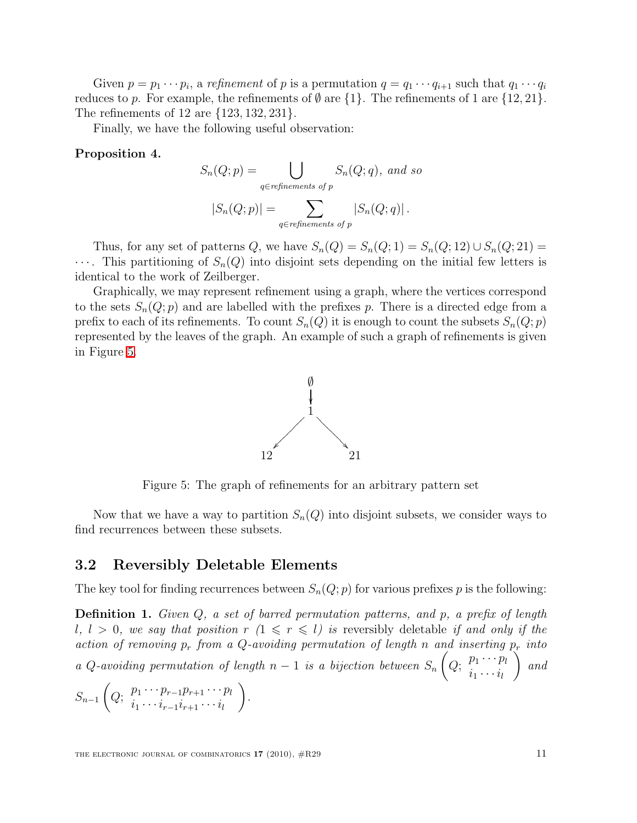Given  $p = p_1 \cdots p_i$ , a refinement of p is a permutation  $q = q_1 \cdots q_{i+1}$  such that  $q_1 \cdots q_i$ reduces to p. For example, the refinements of  $\emptyset$  are  $\{1\}$ . The refinements of 1 are  $\{12, 21\}$ . The refinements of 12 are {123, 132, 231}.

Finally, we have the following useful observation:

#### Proposition 4.

$$
S_n(Q; p) = \bigcup_{q \in refinements \ of \ p} S_n(Q; q), \ and \ so
$$

$$
|S_n(Q; p)| = \sum_{q \in refinements \ of \ p} |S_n(Q; q)|.
$$

Thus, for any set of patterns Q, we have  $S_n(Q) = S_n(Q; 1) = S_n(Q; 12) \cup S_n(Q; 21) =$  $\cdots$ . This partitioning of  $S_n(Q)$  into disjoint sets depending on the initial few letters is identical to the work of Zeilberger.

Graphically, we may represent refinement using a graph, where the vertices correspond to the sets  $S_n(Q; p)$  and are labelled with the prefixes p. There is a directed edge from a prefix to each of its refinements. To count  $S_n(Q)$  it is enough to count the subsets  $S_n(Q; p)$ represented by the leaves of the graph. An example of such a graph of refinements is given in Figure [5.](#page-10-0)



<span id="page-10-0"></span>Figure 5: The graph of refinements for an arbitrary pattern set

Now that we have a way to partition  $S_n(Q)$  into disjoint subsets, we consider ways to find recurrences between these subsets.

#### 3.2 Reversibly Deletable Elements

The key tool for finding recurrences between  $S_n(Q; p)$  for various prefixes p is the following:

Definition 1. Given Q, a set of barred permutation patterns, and p, a prefix of length l,  $l > 0$ , we say that position  $r (1 \leq r \leq l)$  is reversibly deletable if and only if the action of removing  $p_r$  from a Q-avoiding permutation of length n and inserting  $p_r$  into a Q-avoiding permutation of length  $n-1$  is a bijection between  $S_n$  $\sqrt{ }$  $Q; \ \frac{p_1 \cdots p_l}{i}$  $i_1 \cdots i_l$  $\setminus$ and

 $S_{n-1}$  $\sqrt{ }$  $Q; \ \frac{p_1 \cdots p_{r-1} p_{r+1} \cdots p_l}{q}$  $i_1 \cdots i_{r-1}i_{r+1} \cdots i_l$  $\setminus$ .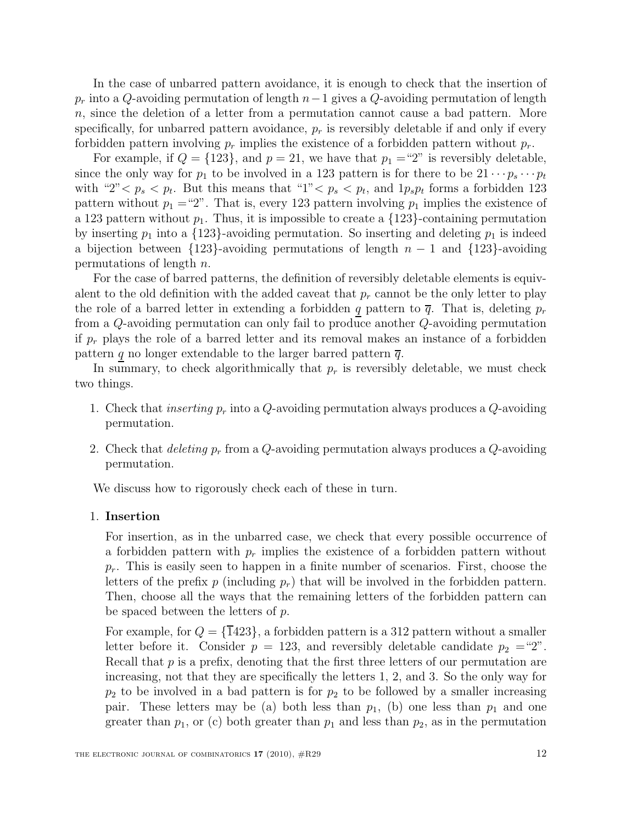In the case of unbarred pattern avoidance, it is enough to check that the insertion of  $p_r$  into a Q-avoiding permutation of length  $n-1$  gives a Q-avoiding permutation of length n, since the deletion of a letter from a permutation cannot cause a bad pattern. More specifically, for unbarred pattern avoidance,  $p_r$  is reversibly deletable if and only if every forbidden pattern involving  $p_r$  implies the existence of a forbidden pattern without  $p_r$ .

For example, if  $Q = \{123\}$ , and  $p = 21$ , we have that  $p_1 = 2$ " is reversibly deletable, since the only way for  $p_1$  to be involved in a 123 pattern is for there to be  $21 \cdots p_s \cdots p_t$ with "2"  $p_s$   $p_t$ . But this means that "1"  $p_s$   $p_t$ , and  $1p_s p_t$  forms a forbidden 123 pattern without  $p_1 = 2$ ". That is, every 123 pattern involving  $p_1$  implies the existence of a 123 pattern without  $p_1$ . Thus, it is impossible to create a  $\{123\}$ -containing permutation by inserting  $p_1$  into a  $\{123\}$ -avoiding permutation. So inserting and deleting  $p_1$  is indeed a bijection between  ${123}$ -avoiding permutations of length  $n-1$  and  ${123}$ -avoiding permutations of length  $n$ .

For the case of barred patterns, the definition of reversibly deletable elements is equivalent to the old definition with the added caveat that  $p_r$  cannot be the only letter to play the role of a barred letter in extending a forbidden q pattern to  $\bar{q}$ . That is, deleting  $p_r$ from a Q-avoiding permutation can only fail to produce another Q-avoiding permutation if  $p_r$  plays the role of a barred letter and its removal makes an instance of a forbidden pattern q no longer extendable to the larger barred pattern  $\overline{q}$ .

In summary, to check algorithmically that  $p_r$  is reversibly deletable, we must check two things.

- 1. Check that *inserting*  $p_r$  into a  $Q$ -avoiding permutation always produces a  $Q$ -avoiding permutation.
- 2. Check that *deleting*  $p_r$  from a Q-avoiding permutation always produces a Q-avoiding permutation.

We discuss how to rigorously check each of these in turn.

#### 1. Insertion

For insertion, as in the unbarred case, we check that every possible occurrence of a forbidden pattern with  $p_r$  implies the existence of a forbidden pattern without  $p_r$ . This is easily seen to happen in a finite number of scenarios. First, choose the letters of the prefix p (including  $p_r$ ) that will be involved in the forbidden pattern. Then, choose all the ways that the remaining letters of the forbidden pattern can be spaced between the letters of  $p$ .

For example, for  $Q = {\overline{1}}423$ , a forbidden pattern is a 312 pattern without a smaller letter before it. Consider  $p = 123$ , and reversibly deletable candidate  $p_2 = 2^{\omega}$ . Recall that  $p$  is a prefix, denoting that the first three letters of our permutation are increasing, not that they are specifically the letters 1, 2, and 3. So the only way for  $p_2$  to be involved in a bad pattern is for  $p_2$  to be followed by a smaller increasing pair. These letters may be (a) both less than  $p_1$ , (b) one less than  $p_1$  and one greater than  $p_1$ , or (c) both greater than  $p_1$  and less than  $p_2$ , as in the permutation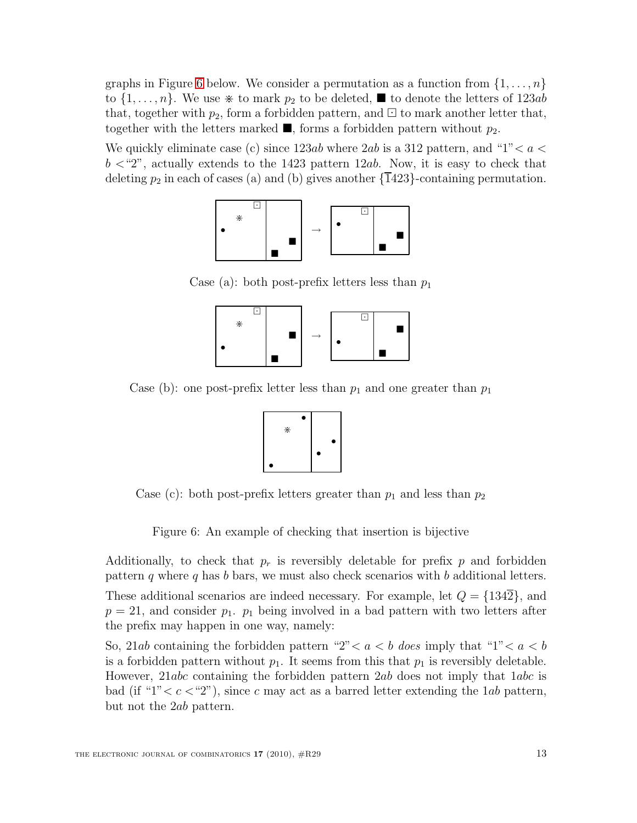graphs in Figure [6](#page-12-0) below. We consider a permutation as a function from  $\{1,\ldots,n\}$ to  $\{1,\ldots,n\}$ . We use  $*$  to mark  $p_2$  to be deleted,  $\blacksquare$  to denote the letters of 123ab that, together with  $p_2$ , form a forbidden pattern, and  $\Xi$  to mark another letter that, together with the letters marked  $\blacksquare$ , forms a forbidden pattern without  $p_2$ .

We quickly eliminate case (c) since 123ab where 2ab is a 312 pattern, and "1"  $< a <$  $b < 2$ ", actually extends to the 1423 pattern 12ab. Now, it is easy to check that deleting  $p_2$  in each of cases (a) and (b) gives another  $\{1423\}$ -containing permutation.



Case (a): both post-prefix letters less than  $p_1$ 



Case (b): one post-prefix letter less than  $p_1$  and one greater than  $p_1$ 



Case (c): both post-prefix letters greater than  $p_1$  and less than  $p_2$ 

<span id="page-12-0"></span>Figure 6: An example of checking that insertion is bijective

Additionally, to check that  $p_r$  is reversibly deletable for prefix p and forbidden pattern q where q has b bars, we must also check scenarios with b additional letters.

These additional scenarios are indeed necessary. For example, let  $Q = \{1342\}$ , and  $p = 21$ , and consider  $p_1$ .  $p_1$  being involved in a bad pattern with two letters after the prefix may happen in one way, namely:

So, 21ab containing the forbidden pattern "2" 
leq a leq does imply that "1" 
leq a leq b is a forbidden pattern without  $p_1$ . It seems from this that  $p_1$  is reversibly deletable. However, 21abc containing the forbidden pattern 2ab does not imply that  $1abc$  is bad (if " $1$ "  $\lt c \lt '2$ "), since c may act as a barred letter extending the 1*ab* pattern, but not the 2ab pattern.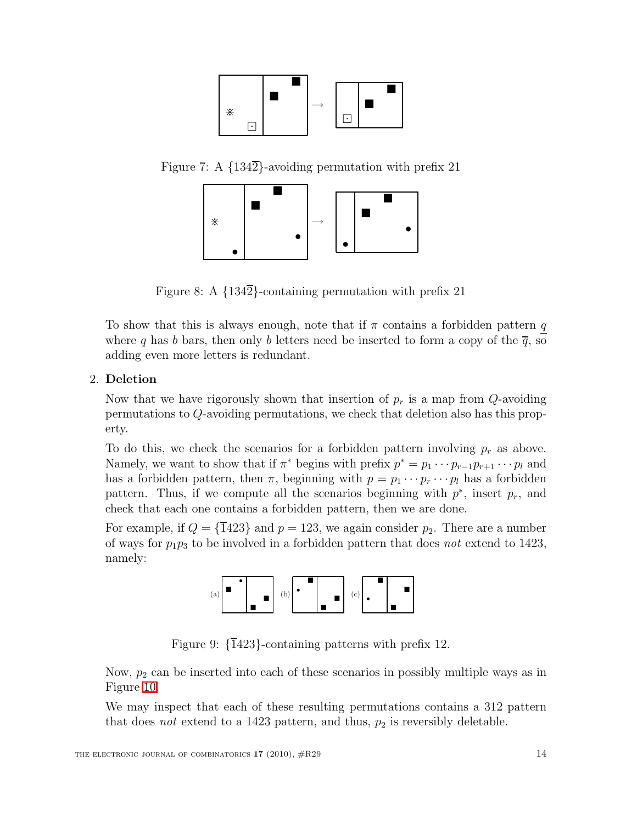

Figure 7: A  $\{134\overline{2}\}$ -avoiding permutation with prefix 21



Figure 8: A  $\{134\overline{2}\}$ -containing permutation with prefix 21

To show that this is always enough, note that if  $\pi$  contains a forbidden pattern q where q has b bars, then only b letters need be inserted to form a copy of the  $\overline{q}$ , so adding even more letters is redundant.

#### 2. Deletion

Now that we have rigorously shown that insertion of  $p_r$  is a map from  $Q$ -avoiding permutations to Q-avoiding permutations, we check that deletion also has this property.

To do this, we check the scenarios for a forbidden pattern involving  $p_r$  as above. Namely, we want to show that if  $\pi^*$  begins with prefix  $p^* = p_1 \cdots p_{r-1} p_{r+1} \cdots p_l$  and has a forbidden pattern, then  $\pi$ , beginning with  $p = p_1 \cdots p_r \cdots p_l$  has a forbidden pattern. Thus, if we compute all the scenarios beginning with  $p^*$ , insert  $p_r$ , and check that each one contains a forbidden pattern, then we are done.

For example, if  $Q = {\overline{1423}}$  and  $p = 123$ , we again consider  $p_2$ . There are a number of ways for  $p_1p_3$  to be involved in a forbidden pattern that does not extend to 1423, namely:



Figure 9:  $\{1423\}$ -containing patterns with prefix 12.

Now,  $p_2$  can be inserted into each of these scenarios in possibly multiple ways as in Figure [10.](#page-14-0)

We may inspect that each of these resulting permutations contains a 312 pattern that does *not* extend to a 1423 pattern, and thus,  $p_2$  is reversibly deletable.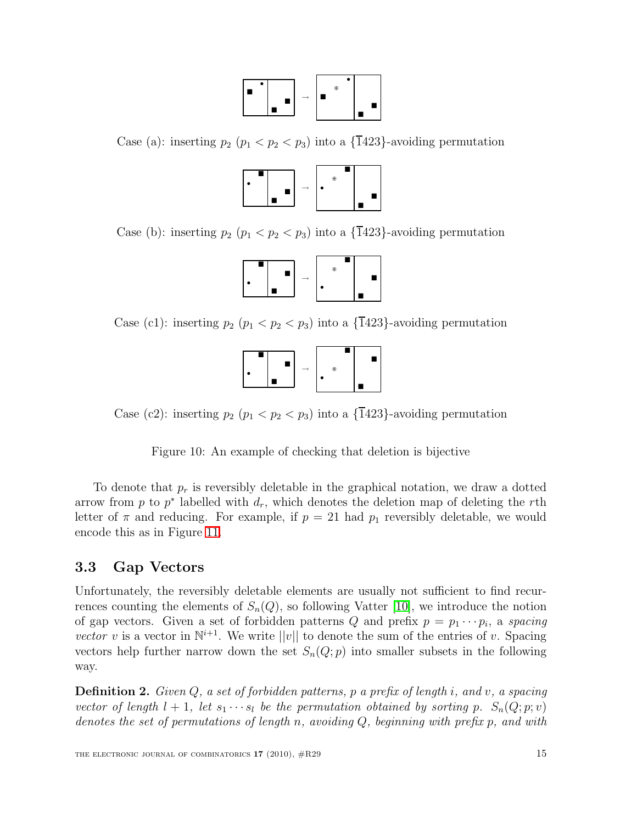

Case (a): inserting  $p_2$  ( $p_1 < p_2 < p_3$ ) into a {1423}-avoiding permutation



Case (b): inserting  $p_2$  ( $p_1 < p_2 < p_3$ ) into a {1423}-avoiding permutation



Case (c1): inserting  $p_2$   $(p_1 < p_2 < p_3)$  into a  $\{\overline{1}423\}$ -avoiding permutation



Case (c2): inserting  $p_2$  ( $p_1 < p_2 < p_3$ ) into a  $\{\overline{1}423\}$ -avoiding permutation

<span id="page-14-0"></span>Figure 10: An example of checking that deletion is bijective

To denote that  $p_r$  is reversibly deletable in the graphical notation, we draw a dotted arrow from p to  $p^*$  labelled with  $d_r$ , which denotes the deletion map of deleting the rth letter of  $\pi$  and reducing. For example, if  $p = 21$  had  $p_1$  reversibly deletable, we would encode this as in Figure [11.](#page-15-0)

### 3.3 Gap Vectors

Unfortunately, the reversibly deletable elements are usually not sufficient to find recurrences counting the elements of  $S_n(Q)$ , so following Vatter [\[10\]](#page-26-13), we introduce the notion of gap vectors. Given a set of forbidden patterns Q and prefix  $p = p_1 \cdots p_i$ , a spacing vector v is a vector in  $\mathbb{N}^{i+1}$ . We write  $||v||$  to denote the sum of the entries of v. Spacing vectors help further narrow down the set  $S_n(Q; p)$  into smaller subsets in the following way.

**Definition 2.** Given  $Q$ , a set of forbidden patterns, p a prefix of length i, and v, a spacing vector of length  $l + 1$ , let  $s_1 \cdots s_l$  be the permutation obtained by sorting p.  $S_n(Q; p; v)$ denotes the set of permutations of length n, avoiding  $Q$ , beginning with prefix p, and with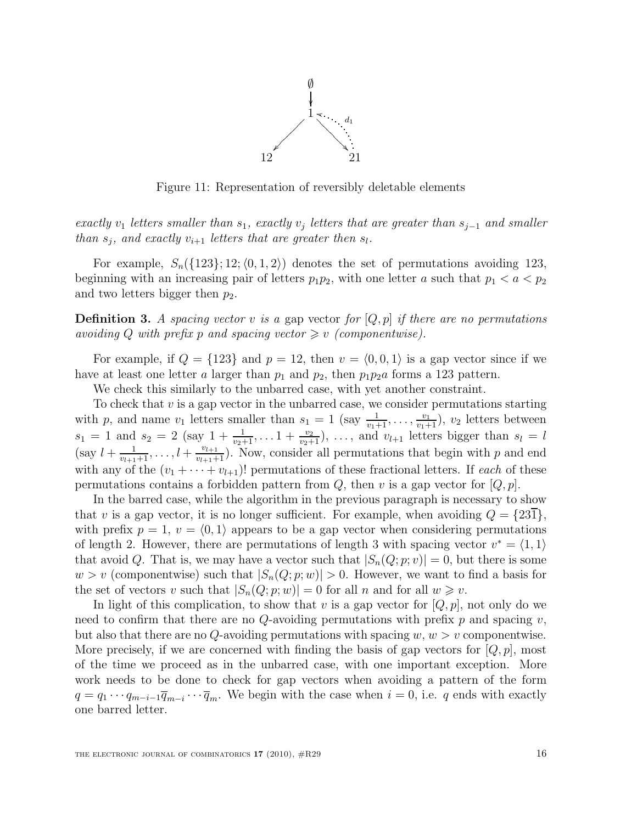

<span id="page-15-0"></span>Figure 11: Representation of reversibly deletable elements

exactly  $v_1$  letters smaller than  $s_1$ , exactly  $v_j$  letters that are greater than  $s_{j-1}$  and smaller than  $s_j$ , and exactly  $v_{i+1}$  letters that are greater then  $s_l$ .

For example,  $S_n({123}; 12; \langle 0, 1, 2 \rangle)$  denotes the set of permutations avoiding 123, beginning with an increasing pair of letters  $p_1p_2$ , with one letter a such that  $p_1 < a < p_2$ and two letters bigger then  $p_2$ .

**Definition 3.** A spacing vector v is a gap vector for  $[Q, p]$  if there are no permutations avoiding Q with prefix p and spacing vector  $\geq v$  (componentwise).

For example, if  $Q = \{123\}$  and  $p = 12$ , then  $v = \langle 0, 0, 1 \rangle$  is a gap vector since if we have at least one letter a larger than  $p_1$  and  $p_2$ , then  $p_1p_2a$  forms a 123 pattern.

We check this similarly to the unbarred case, with yet another constraint.

To check that  $v$  is a gap vector in the unbarred case, we consider permutations starting with p, and name  $v_1$  letters smaller than  $s_1 = 1$  (say  $\frac{1}{v_1+1}, \ldots, \frac{v_1}{v_1+1}$ ),  $v_2$  letters between  $s_1 = 1$  and  $s_2 = 2$  (say  $1 + \frac{1}{v_2+1}, \ldots 1 + \frac{v_2}{v_2+1}, \ldots$ , and  $v_{l+1}$  letters bigger than  $s_l = l$ (say  $l + \frac{1}{v_{l+1}+1}, \ldots, l + \frac{v_{l+1}}{v_{l+1}+1}$ ). Now, consider all permutations that begin with p and end with any of the  $(v_1 + \cdots + v_{l+1})!$  permutations of these fractional letters. If each of these permutations contains a forbidden pattern from  $Q$ , then v is a gap vector for  $[Q, p]$ .

In the barred case, while the algorithm in the previous paragraph is necessary to show that v is a gap vector, it is no longer sufficient. For example, when avoiding  $Q = \{23\}$ , with prefix  $p = 1, v = \langle 0, 1 \rangle$  appears to be a gap vector when considering permutations of length 2. However, there are permutations of length 3 with spacing vector  $v^* = \langle 1, 1 \rangle$ that avoid Q. That is, we may have a vector such that  $|S_n(Q; p; v)| = 0$ , but there is some  $w > v$  (componentwise) such that  $|S_n(Q; p; w)| > 0$ . However, we want to find a basis for the set of vectors v such that  $|S_n(Q; p; w)| = 0$  for all n and for all  $w \geq v$ .

<span id="page-15-1"></span>In light of this complication, to show that v is a gap vector for  $[Q, p]$ , not only do we need to confirm that there are no  $Q$ -avoiding permutations with prefix p and spacing v, but also that there are no Q-avoiding permutations with spacing  $w, w > v$  componentwise. More precisely, if we are concerned with finding the basis of gap vectors for  $[Q, p]$ , most of the time we proceed as in the unbarred case, with one important exception. More work needs to be done to check for gap vectors when avoiding a pattern of the form  $q = q_1 \cdots q_{m-i-1} \overline{q}_{m-i} \cdots \overline{q}_m$ . We begin with the case when  $i = 0$ , i.e. q ends with exactly one barred letter.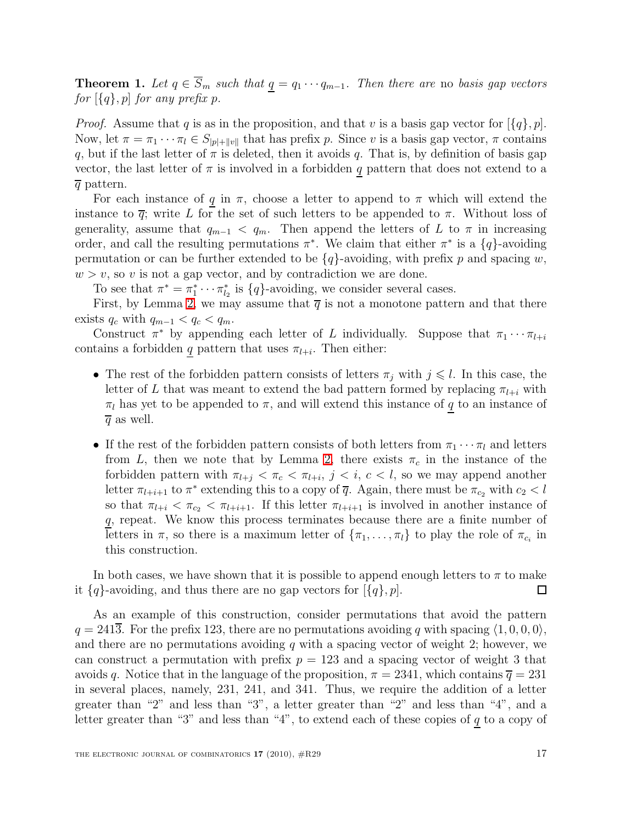**Theorem 1.** Let  $q \in \overline{S}_m$  such that  $q = q_1 \cdots q_{m-1}$ . Then there are no basis gap vectors for  $\{q\}$ , p for any prefix p.

*Proof.* Assume that q is as in the proposition, and that v is a basis gap vector for  $\{q\}, p$ . Now, let  $\pi = \pi_1 \cdots \pi_l \in S_{|p|+||v||}$  that has prefix p. Since v is a basis gap vector,  $\pi$  contains q, but if the last letter of  $\pi$  is deleted, then it avoids q. That is, by definition of basis gap vector, the last letter of  $\pi$  is involved in a forbidden q pattern that does not extend to a  $\overline{q}$  pattern.

For each instance of q in  $\pi$ , choose a letter to append to  $\pi$  which will extend the instance to  $\overline{q}$ ; write L for the set of such letters to be appended to  $\pi$ . Without loss of generality, assume that  $q_{m-1} < q_m$ . Then append the letters of L to  $\pi$  in increasing order, and call the resulting permutations  $\pi^*$ . We claim that either  $\pi^*$  is a  $\{q\}$ -avoiding permutation or can be further extended to be  $\{q\}$ -avoiding, with prefix p and spacing w,  $w > v$ , so v is not a gap vector, and by contradiction we are done.

To see that  $\pi^* = \pi_1^* \cdots \pi_{l_2}^*$  is  $\{q\}$ -avoiding, we consider several cases.

First, by Lemma [2,](#page-1-1) we may assume that  $\overline{q}$  is not a monotone pattern and that there exists  $q_c$  with  $q_{m-1} < q_c < q_m$ .

Construct  $\pi^*$  by appending each letter of L individually. Suppose that  $\pi_1 \cdots \pi_{l+i}$ contains a forbidden q pattern that uses  $\pi_{l+i}$ . Then either:

- The rest of the forbidden pattern consists of letters  $\pi_j$  with  $j \leq l$ . In this case, the letter of L that was meant to extend the bad pattern formed by replacing  $\pi_{l+i}$  with  $\pi_l$  has yet to be appended to  $\pi,$  and will extend this instance of  $\underline{q}$  to an instance of  $\overline{q}$  as well.
- If the rest of the forbidden pattern consists of both letters from  $\pi_1 \cdots \pi_l$  and letters from L, then we note that by Lemma [2,](#page-1-1) there exists  $\pi_c$  in the instance of the forbidden pattern with  $\pi_{l+j} < \pi_c < \pi_{l+i}, j \leq i, c \leq l$ , so we may append another letter  $\pi_{l+i+1}$  to  $\pi^*$  extending this to a copy of  $\overline{q}$ . Again, there must be  $\pi_{c_2}$  with  $c_2 < l$ so that  $\pi_{l+i} < \pi_{c_2} < \pi_{l+i+1}$ . If this letter  $\pi_{l+i+1}$  is involved in another instance of q, repeat. We know this process terminates because there are a finite number of letters in  $\pi$ , so there is a maximum letter of  $\{\pi_1, \ldots, \pi_l\}$  to play the role of  $\pi_{c_i}$  in this construction.

In both cases, we have shown that it is possible to append enough letters to  $\pi$  to make it  ${q}$ -avoiding, and thus there are no gap vectors for  ${q}$ , p.  $\Box$ 

As an example of this construction, consider permutations that avoid the pattern  $q = 2413$ . For the prefix 123, there are no permutations avoiding q with spacing  $\langle 1, 0, 0, 0 \rangle$ , and there are no permutations avoiding  $q$  with a spacing vector of weight 2; however, we can construct a permutation with prefix  $p = 123$  and a spacing vector of weight 3 that avoids q. Notice that in the language of the proposition,  $\pi = 2341$ , which contains  $\overline{q} = 231$ in several places, namely, 231, 241, and 341. Thus, we require the addition of a letter greater than "2" and less than "3", a letter greater than "2" and less than "4", and a letter greater than "3" and less than "4", to extend each of these copies of  $q$  to a copy of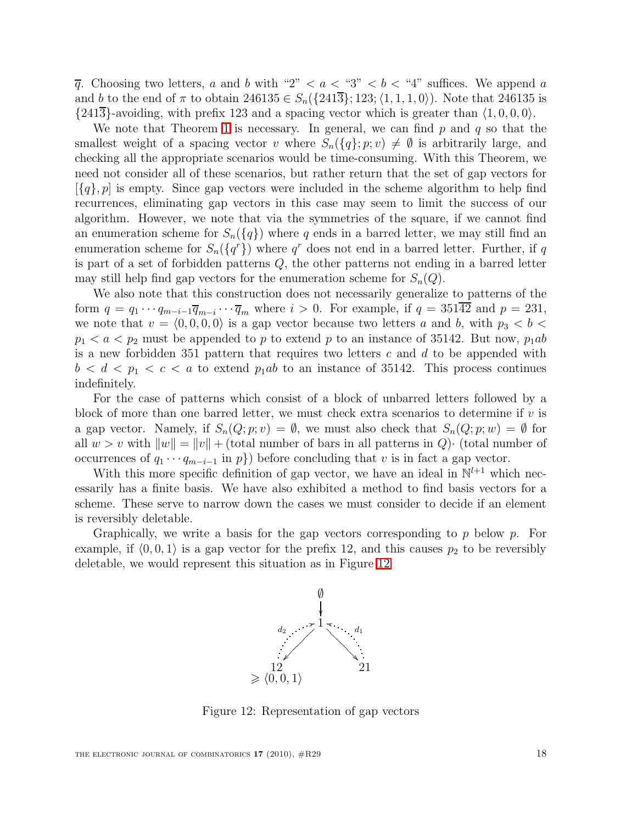$\overline{q}$ . Choosing two letters, a and b with "2" < a < "3" < b < "4" suffices. We append a and b to the end of  $\pi$  to obtain 246135  $\in S_n({241\overline{3}}; 123; \langle 1, 1, 1, 0 \rangle)$ . Note that 246135 is  $\{241\overline{3}\}$ -avoiding, with prefix 123 and a spacing vector which is greater than  $\langle 1, 0, 0, 0 \rangle$ .

We note that Theorem [1](#page-15-1) is necessary. In general, we can find  $p$  and  $q$  so that the smallest weight of a spacing vector v where  $S_n({q}; p; v) \neq \emptyset$  is arbitrarily large, and checking all the appropriate scenarios would be time-consuming. With this Theorem, we need not consider all of these scenarios, but rather return that the set of gap vectors for  $[\{q\}, p]$  is empty. Since gap vectors were included in the scheme algorithm to help find recurrences, eliminating gap vectors in this case may seem to limit the success of our algorithm. However, we note that via the symmetries of the square, if we cannot find an enumeration scheme for  $S_n({q})$  where q ends in a barred letter, we may still find an enumeration scheme for  $S_n({q<sup>r</sup>})$  where  $q<sup>r</sup>$  does not end in a barred letter. Further, if q is part of a set of forbidden patterns Q, the other patterns not ending in a barred letter may still help find gap vectors for the enumeration scheme for  $S_n(Q)$ .

We also note that this construction does not necessarily generalize to patterns of the form  $q = q_1 \cdots q_{m-i-1} \overline{q}_{m-i} \cdots \overline{q}_m$  where  $i > 0$ . For example, if  $q = 351\overline{42}$  and  $p = 231$ , we note that  $v = \langle 0, 0, 0, 0 \rangle$  is a gap vector because two letters a and b, with  $p_3 < b <$  $p_1 < a < p_2$  must be appended to p to extend p to an instance of 35142. But now,  $p_1ab$ is a new forbidden 351 pattern that requires two letters  $c$  and  $d$  to be appended with  $b < d < p_1 < c < a$  to extend  $p_1ab$  to an instance of 35142. This process continues indefinitely.

For the case of patterns which consist of a block of unbarred letters followed by a block of more than one barred letter, we must check extra scenarios to determine if  $v$  is a gap vector. Namely, if  $S_n(Q; p; v) = \emptyset$ , we must also check that  $S_n(Q; p; w) = \emptyset$  for all  $w > v$  with  $||w|| = ||v|| +$  (total number of bars in all patterns in Q) $\cdot$  (total number of occurrences of  $q_1 \cdots q_{m-i-1}$  in  $p$ }) before concluding that v is in fact a gap vector.

With this more specific definition of gap vector, we have an ideal in  $\mathbb{N}^{l+1}$  which necessarily has a finite basis. We have also exhibited a method to find basis vectors for a scheme. These serve to narrow down the cases we must consider to decide if an element is reversibly deletable.

Graphically, we write a basis for the gap vectors corresponding to  $p$  below  $p$ . For example, if  $\langle 0, 0, 1 \rangle$  is a gap vector for the prefix 12, and this causes  $p_2$  to be reversibly deletable, we would represent this situation as in Figure [12](#page-17-0)



<span id="page-17-0"></span>Figure 12: Representation of gap vectors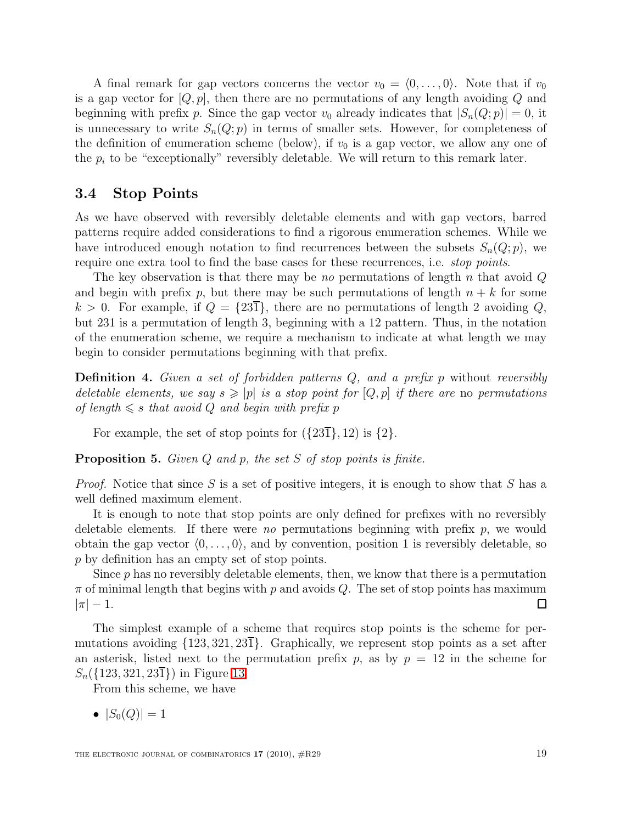A final remark for gap vectors concerns the vector  $v_0 = (0, \ldots, 0)$ . Note that if  $v_0$ is a gap vector for  $[Q, p]$ , then there are no permutations of any length avoiding  $Q$  and beginning with prefix p. Since the gap vector  $v_0$  already indicates that  $|S_n(Q; p)| = 0$ , it is unnecessary to write  $S_n(Q; p)$  in terms of smaller sets. However, for completeness of the definition of enumeration scheme (below), if  $v_0$  is a gap vector, we allow any one of the  $p_i$  to be "exceptionally" reversibly deletable. We will return to this remark later.

### 3.4 Stop Points

As we have observed with reversibly deletable elements and with gap vectors, barred patterns require added considerations to find a rigorous enumeration schemes. While we have introduced enough notation to find recurrences between the subsets  $S_n(Q; p)$ , we require one extra tool to find the base cases for these recurrences, i.e. stop points.

The key observation is that there may be no permutations of length n that avoid  $Q$ and begin with prefix p, but there may be such permutations of length  $n + k$  for some  $k > 0$ . For example, if  $Q = \{23\}$ , there are no permutations of length 2 avoiding Q, but 231 is a permutation of length 3, beginning with a 12 pattern. Thus, in the notation of the enumeration scheme, we require a mechanism to indicate at what length we may begin to consider permutations beginning with that prefix.

**Definition 4.** Given a set of forbidden patterns  $Q$ , and a prefix p without reversibly deletable elements, we say  $s \geqslant |p|$  is a stop point for  $[Q, p]$  if there are no permutations of length  $\leq s$  that avoid Q and begin with prefix p

For example, the set of stop points for  $({23\overline{1}}), 12)$  is  ${2}.$ 

**Proposition 5.** Given  $Q$  and  $p$ , the set  $S$  of stop points is finite.

*Proof.* Notice that since S is a set of positive integers, it is enough to show that S has a well defined maximum element.

It is enough to note that stop points are only defined for prefixes with no reversibly deletable elements. If there were no permutations beginning with prefix  $p$ , we would obtain the gap vector  $\langle 0, \ldots, 0 \rangle$ , and by convention, position 1 is reversibly deletable, so p by definition has an empty set of stop points.

Since  $p$  has no reversibly deletable elements, then, we know that there is a permutation  $\pi$  of minimal length that begins with p and avoids Q. The set of stop points has maximum  $|\pi| - 1.$  $\Box$ 

The simplest example of a scheme that requires stop points is the scheme for permutations avoiding  $\{123, 321, 23\overline{\text{I}}\}$ . Graphically, we represent stop points as a set after an asterisk, listed next to the permutation prefix p, as by  $p = 12$  in the scheme for  $S_n({123, 321, 231})$  in Figure [13](#page-19-0)

From this scheme, we have

•  $|S_0(Q)| = 1$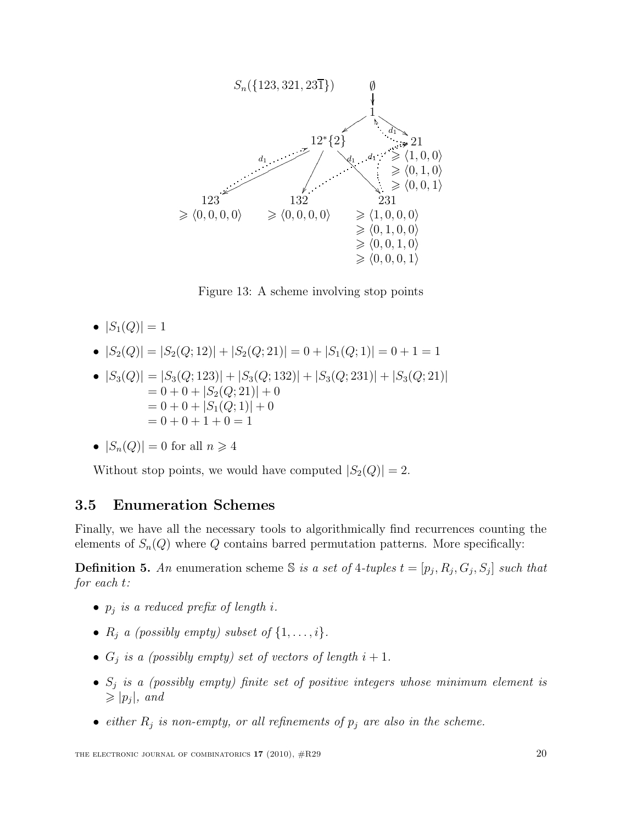

<span id="page-19-0"></span>Figure 13: A scheme involving stop points

- $|S_1(Q)| = 1$
- $|S_2(Q)| = |S_2(Q; 12)| + |S_2(Q; 21)| = 0 + |S_1(Q; 1)| = 0 + 1 = 1$
- $|S_3(Q)| = |S_3(Q; 123)| + |S_3(Q; 132)| + |S_3(Q; 231)| + |S_3(Q; 21)|$  $= 0 + 0 + |S_2(Q; 21)| + 0$  $= 0 + 0 + |S_1(Q; 1)| + 0$  $= 0 + 0 + 1 + 0 = 1$

• 
$$
|S_n(Q)| = 0
$$
 for all  $n \ge 4$ 

Without stop points, we would have computed  $|S_2(Q)| = 2$ .

#### 3.5 Enumeration Schemes

Finally, we have all the necessary tools to algorithmically find recurrences counting the elements of  $S_n(Q)$  where Q contains barred permutation patterns. More specifically:

**Definition 5.** An enumeration scheme S is a set of 4-tuples  $t = [p_j, R_j, G_j, S_j]$  such that for each t:

- $p_j$  is a reduced prefix of length i.
- $R_j$  a (possibly empty) subset of  $\{1, \ldots, i\}$ .
- $G_j$  is a (possibly empty) set of vectors of length  $i+1$ .
- $S_j$  is a (possibly empty) finite set of positive integers whose minimum element is  $\geqslant$   $|p_j|$ , and
- either  $R_j$  is non-empty, or all refinements of  $p_j$  are also in the scheme.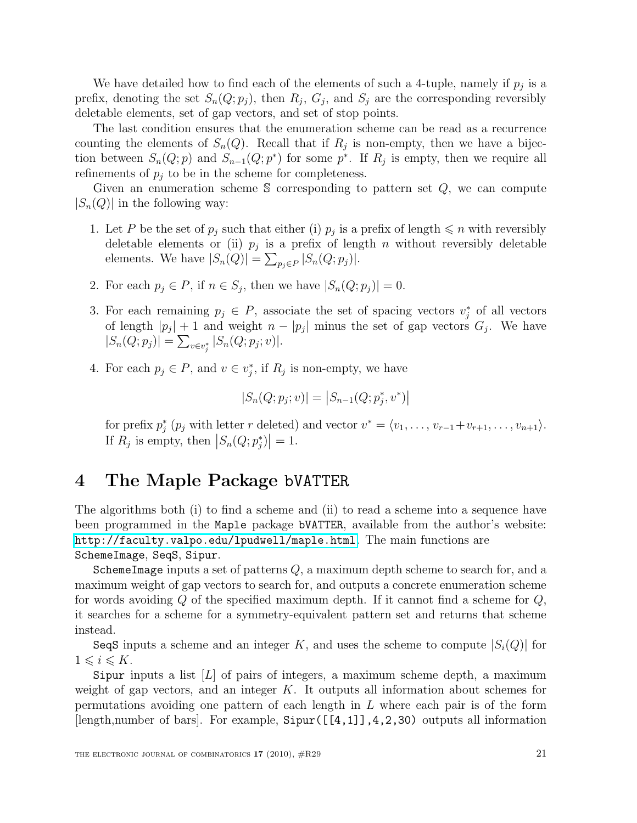We have detailed how to find each of the elements of such a 4-tuple, namely if  $p_j$  is a prefix, denoting the set  $S_n(Q; p_j)$ , then  $R_j$ ,  $G_j$ , and  $S_j$  are the corresponding reversibly deletable elements, set of gap vectors, and set of stop points.

The last condition ensures that the enumeration scheme can be read as a recurrence counting the elements of  $S_n(Q)$ . Recall that if  $R_j$  is non-empty, then we have a bijection between  $S_n(Q; p)$  and  $S_{n-1}(Q; p^*)$  for some  $p^*$ . If  $R_j$  is empty, then we require all refinements of  $p_i$  to be in the scheme for completeness.

Given an enumeration scheme S corresponding to pattern set  $Q$ , we can compute  $|S_n(Q)|$  in the following way:

- 1. Let P be the set of  $p_j$  such that either (i)  $p_j$  is a prefix of length  $\leq n$  with reversibly deletable elements or (ii)  $p_j$  is a prefix of length n without reversibly deletable elements. We have  $|S_n(Q)| = \sum_{p_j \in P} |S_n(Q; p_j)|$ .
- 2. For each  $p_j \in P$ , if  $n \in S_j$ , then we have  $|S_n(Q; p_j)| = 0$ .
- 3. For each remaining  $p_j \in P$ , associate the set of spacing vectors  $v_j^*$  of all vectors of length  $|p_j| + 1$  and weight  $n - |p_j|$  minus the set of gap vectors  $G_j$ . We have  $|S_n(Q; p_j)| = \sum_{v \in v_j^*} |S_n(Q; p_j; v)|.$
- 4. For each  $p_j \in P$ , and  $v \in v_j^*$ , if  $R_j$  is non-empty, we have

$$
|S_n(Q; p_j; v)| = |S_{n-1}(Q; p_j^*, v^*)|
$$

for prefix  $p_j^*(p_j$  with letter r deleted) and vector  $v^* = \langle v_1, \ldots, v_{r-1} + v_{r+1}, \ldots, v_{n+1} \rangle$ . If  $R_j$  is empty, then  $|S_n(Q; p_j^*)| = 1$ .

### 4 The Maple Package bVATTER

The algorithms both (i) to find a scheme and (ii) to read a scheme into a sequence have been programmed in the Maple package bVATTER, available from the author's website: <http://faculty.valpo.edu/lpudwell/maple.html>. The main functions are SchemeImage, SeqS, Sipur.

SchemeImage inputs a set of patterns  $Q$ , a maximum depth scheme to search for, and a maximum weight of gap vectors to search for, and outputs a concrete enumeration scheme for words avoiding  $Q$  of the specified maximum depth. If it cannot find a scheme for  $Q$ , it searches for a scheme for a symmetry-equivalent pattern set and returns that scheme instead.

SeqS inputs a scheme and an integer K, and uses the scheme to compute  $|S_i(Q)|$  for  $1 \leq i \leq K$ .

Sipur inputs a list  $[L]$  of pairs of integers, a maximum scheme depth, a maximum weight of gap vectors, and an integer  $K$ . It outputs all information about schemes for permutations avoiding one pattern of each length in  $L$  where each pair is of the form [length,number of bars]. For example, Sipur([[4,1]],4,2,30) outputs all information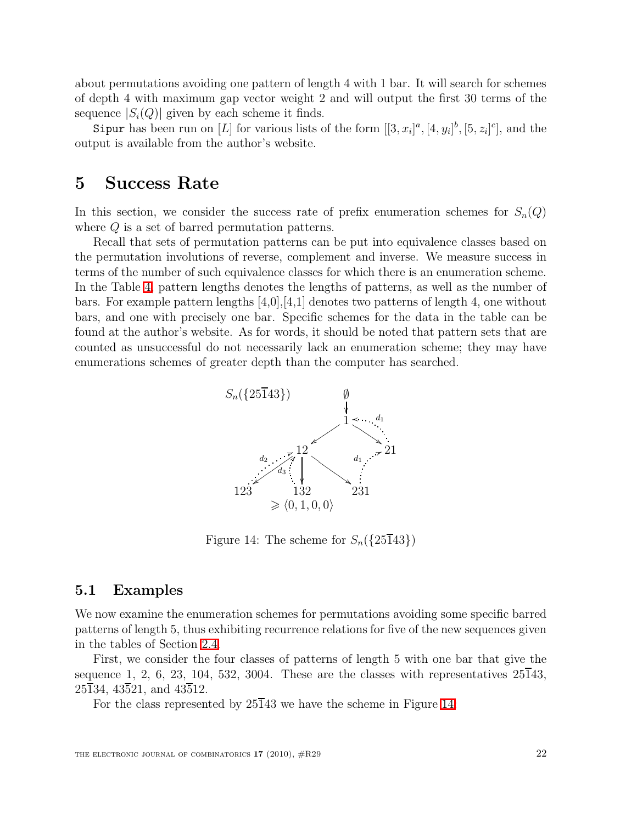about permutations avoiding one pattern of length 4 with 1 bar. It will search for schemes of depth 4 with maximum gap vector weight 2 and will output the first 30 terms of the sequence  $|S_i(Q)|$  given by each scheme it finds.

Sipur has been run on [L] for various lists of the form  $[[3, x_i]^a, [4, y_i]^b, [5, z_i]^c]$ , and the output is available from the author's website.

### 5 Success Rate

In this section, we consider the success rate of prefix enumeration schemes for  $S_n(Q)$ where Q is a set of barred permutation patterns.

Recall that sets of permutation patterns can be put into equivalence classes based on the permutation involutions of reverse, complement and inverse. We measure success in terms of the number of such equivalence classes for which there is an enumeration scheme. In the Table [4,](#page-22-0) pattern lengths denotes the lengths of patterns, as well as the number of bars. For example pattern lengths [4,0],[4,1] denotes two patterns of length 4, one without bars, and one with precisely one bar. Specific schemes for the data in the table can be found at the author's website. As for words, it should be noted that pattern sets that are counted as unsuccessful do not necessarily lack an enumeration scheme; they may have enumerations schemes of greater depth than the computer has searched.



<span id="page-21-0"></span>Figure 14: The scheme for  $S_n({25\overline{1}43})$ 

#### 5.1 Examples

We now examine the enumeration schemes for permutations avoiding some specific barred patterns of length 5, thus exhibiting recurrence relations for five of the new sequences given in the tables of Section [2.4.](#page-7-1)

First, we consider the four classes of patterns of length 5 with one bar that give the sequence 1, 2, 6, 23, 104, 532, 3004. These are the classes with representatives  $25\overline{1}43$ ,  $25\overline{1}34$ ,  $43\overline{5}21$ , and  $43\overline{5}12$ .

For the class represented by  $25\overline{1}43$  we have the scheme in Figure [14:](#page-21-0)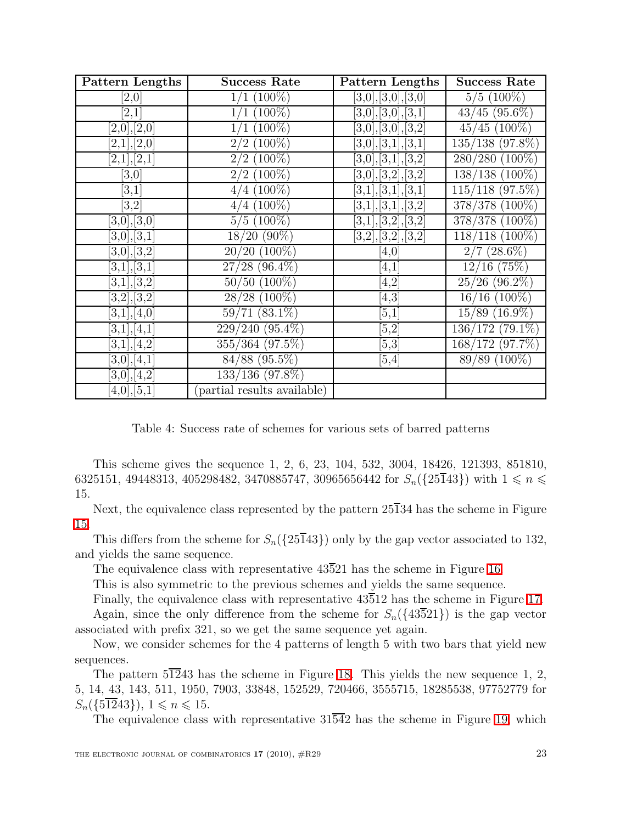| Pattern Lengths   | <b>Success Rate</b>          | Pattern Lengths     | <b>Success Rate</b>          |
|-------------------|------------------------------|---------------------|------------------------------|
| [2,0]             | $1/1~(100\%)$                | [3,0],[3,0],[3,0]   | $5/5(100\%)$                 |
| [2,1]             | $(100\%)$                    | [3,0],[3,0],[3,1]   | $43/45$ $(95.6\%)$           |
| [2,0],[2,0]       | $(100\%)$                    | [3,0],[3,0],[3,2]   | $45/45$ (100%)               |
| [2,1],[2,0]       | $2/2$ (100%)                 | [3,0],[3,1],[3,1]   | 135/138 (97.8%)              |
| [2,1],[2,1]       | $2/2$ (100%)                 | [3,0],[3,1],[3,2]   | 280/280 (100%)               |
| [3,0]             | $2/2$ (100%)                 | [3,0], [3,2], [3,2] | 138/138 (100%)               |
| [3,1]             | $(100\%)$<br>4/              | [3,1],[3,1],[3,1]   | $115/118$ (97.5%)            |
| [3,2]             | $4/4$ (100%)                 | [3,1],[3,1],[3,2]   | 378/378 (100%)               |
| [3,0],[3,0]       | $5/5(100\%)$                 | [3,1],[3,2],[3,2]   | 378/378 (100%)               |
| [3,0],[3,1]       | $18/20(90\%)$                | [3,2], [3,2], [3,2] | 118/118 (100%)               |
| [3,0],[3,2]       | $20/20$ (100%)               | $^{4,0}$            | $2/7$ (28.6%)                |
| [3,1], [3,1]      | $27/28$ (96.4%)              | [4,1]               | $12/16$ (75\%)               |
| [3,1],[3,2]       | $50/50$ $(100\%)$            | [4,2]               | $25/26$ (96.2%)              |
| [3,2], [3,2]      | $28/28$ (100%)               | [4,3]               | $16/16$ (100%)               |
| [3,1],[4,0]       | $59/71(83.1\%)$              | [5,1]               | $\overline{15/89}$ (16.9%)   |
| [3,1], [4,1]      | $229/240(95.\overline{4\%})$ | [5,2]               | $\overline{136}/172$ (79.1%) |
| [3,1],[4,2]       | 355/364 (97.5%)              | [5,3]               | 168/172 (97.7%)              |
| $[3,\!0],[4,\!1]$ | $84/88$ (95.5%)              | [5,4]               | $89/89(100\%)$               |
| [3,0],[4,2]       | 133/136 (97.8%)              |                     |                              |
| [4,0],[5,1]       | partial results available)   |                     |                              |

<span id="page-22-0"></span>Table 4: Success rate of schemes for various sets of barred patterns

This scheme gives the sequence 1, 2, 6, 23, 104, 532, 3004, 18426, 121393, 851810, 6325151, 49448313, 405298482, 3470885747, 30965656442 for  $S_n({25\overline{1}43})$  with  $1 \leq n \leq$ 15.

Next, the equivalence class represented by the pattern  $25\overline{1}34$  has the scheme in Figure [15.](#page-23-0)

This differs from the scheme for  $S_n({25\overline{1}43})$  only by the gap vector associated to 132, and yields the same sequence.

The equivalence class with representative  $43\overline{5}21$  has the scheme in Figure [16.](#page-23-1)

This is also symmetric to the previous schemes and yields the same sequence.

Finally, the equivalence class with representative 43512 has the scheme in Figure [17.](#page-24-0) Again, since the only difference from the scheme for  $S_n({13\overline{5}21})$  is the gap vector associated with prefix 321, so we get the same sequence yet again.

Now, we consider schemes for the 4 patterns of length 5 with two bars that yield new sequences.

The pattern  $5\overline{12}43$  has the scheme in Figure [18.](#page-24-1) This yields the new sequence 1, 2, 5, 14, 43, 143, 511, 1950, 7903, 33848, 152529, 720466, 3555715, 18285538, 97752779 for  $S_n({\{5\overline{12}43\}}), 1 \leq n \leq 15.$ 

The equivalence class with representative  $31\overline{54}2$  has the scheme in Figure [19,](#page-25-0) which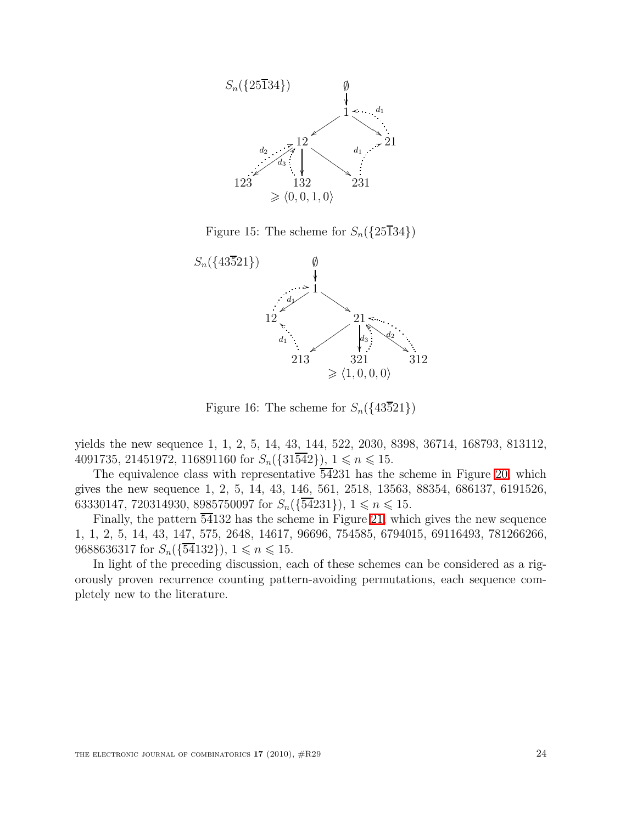

<span id="page-23-0"></span>Figure 15: The scheme for  $S_n({25\overline{1}34})$ 



<span id="page-23-1"></span>Figure 16: The scheme for  $S_n({43\overline{5}21})$ 

yields the new sequence 1, 1, 2, 5, 14, 43, 144, 522, 2030, 8398, 36714, 168793, 813112, 4091735, 21451972, 116891160 for  $S_n({31\overline{542}})$ ,  $1 \le n \le 15$ .

The equivalence class with representative  $\overline{54}231$  has the scheme in Figure [20,](#page-25-1) which gives the new sequence 1, 2, 5, 14, 43, 146, 561, 2518, 13563, 88354, 686137, 6191526, 63330147, 720314930, 8985750097 for  $S_n(\{\overline{54}231\})$ ,  $1 \le n \le 15$ .

Finally, the pattern  $\overline{54}132$  has the scheme in Figure [21,](#page-25-2) which gives the new sequence 1, 1, 2, 5, 14, 43, 147, 575, 2648, 14617, 96696, 754585, 6794015, 69116493, 781266266, 9688636317 for  $S_n(\{\overline{54}132\})$ ,  $1 \leq n \leq 15$ .

In light of the preceding discussion, each of these schemes can be considered as a rigorously proven recurrence counting pattern-avoiding permutations, each sequence completely new to the literature.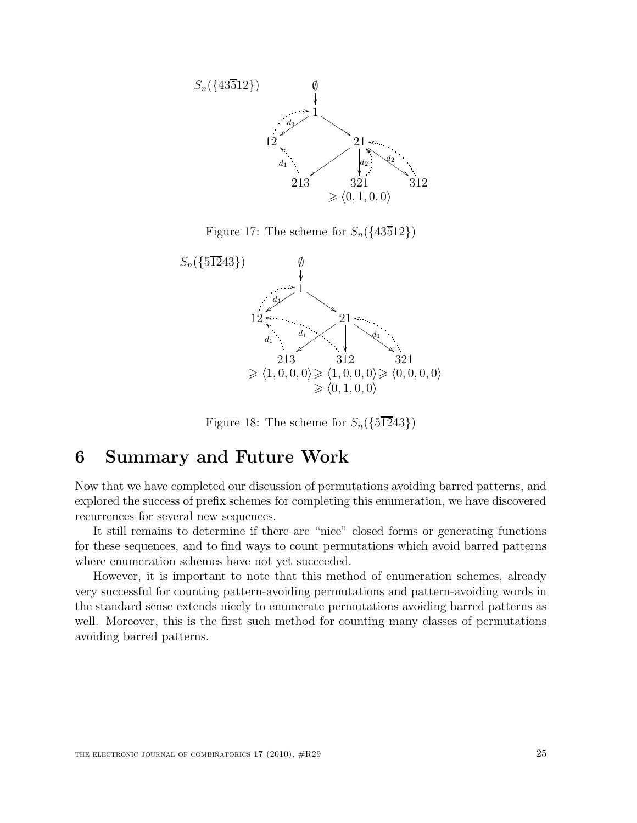

<span id="page-24-0"></span>Figure 17: The scheme for  $S_n({43\overline{5}12})$ 



<span id="page-24-1"></span>Figure 18: The scheme for  $S_n({\{5\overline{12}43\}})$ 

### 6 Summary and Future Work

Now that we have completed our discussion of permutations avoiding barred patterns, and explored the success of prefix schemes for completing this enumeration, we have discovered recurrences for several new sequences.

It still remains to determine if there are "nice" closed forms or generating functions for these sequences, and to find ways to count permutations which avoid barred patterns where enumeration schemes have not yet succeeded.

However, it is important to note that this method of enumeration schemes, already very successful for counting pattern-avoiding permutations and pattern-avoiding words in the standard sense extends nicely to enumerate permutations avoiding barred patterns as well. Moreover, this is the first such method for counting many classes of permutations avoiding barred patterns.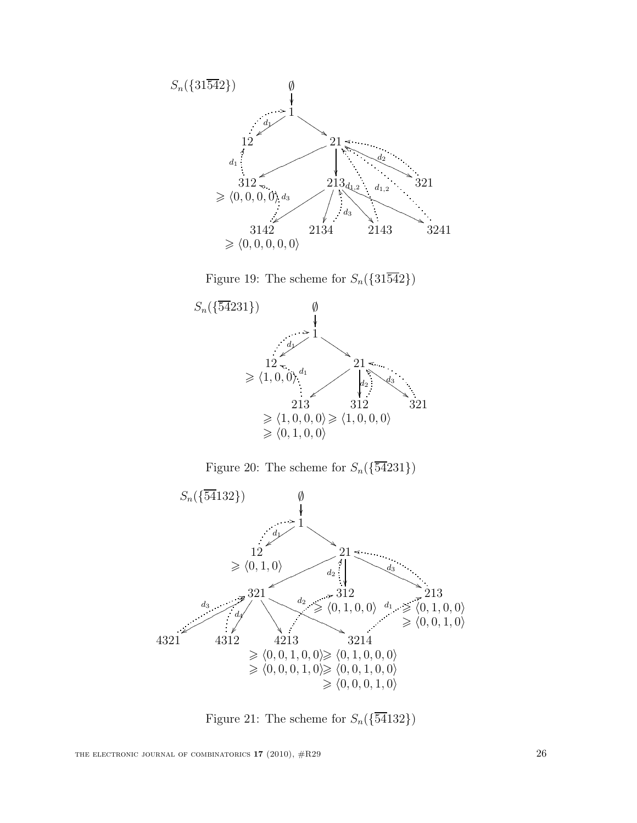

<span id="page-25-0"></span>Figure 19: The scheme for  $S_n({31\overline{542}})$ 



<span id="page-25-1"></span>Figure 20: The scheme for  $S_n(\{\overline{54}231\})$ 



<span id="page-25-2"></span>Figure 21: The scheme for  $S_n(\{\overline{54}132\})$